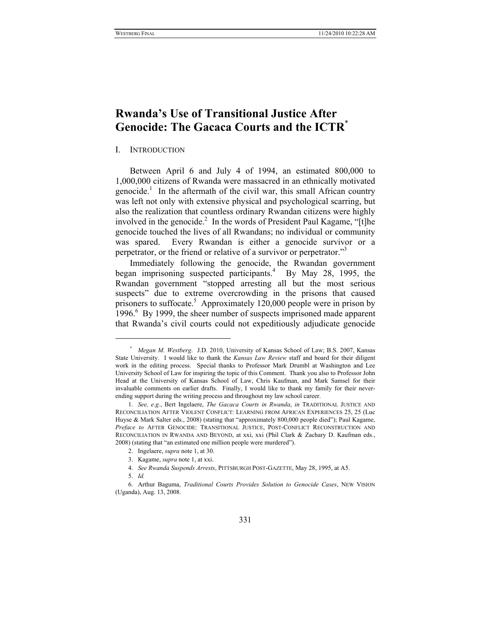# **Rwanda's Use of Transitional Justice After Genocide: The Gacaca Courts and the ICTR**\*

### I. INTRODUCTION

Between April 6 and July 4 of 1994, an estimated 800,000 to 1,000,000 citizens of Rwanda were massacred in an ethnically motivated genocide.<sup>1</sup> In the aftermath of the civil war, this small African country was left not only with extensive physical and psychological scarring, but also the realization that countless ordinary Rwandan citizens were highly involved in the genocide.<sup>2</sup> In the words of President Paul Kagame, "[t]he genocide touched the lives of all Rwandans; no individual or community was spared. Every Rwandan is either a genocide survivor or a perpetrator, or the friend or relative of a survivor or perpetrator."3

Immediately following the genocide, the Rwandan government began imprisoning suspected participants.<sup>4</sup> By May 28, 1995, the Rwandan government "stopped arresting all but the most serious suspects" due to extreme overcrowding in the prisons that caused prisoners to suffocate.<sup>5</sup> Approximately 120,000 people were in prison by 1996.<sup>6</sup> By 1999, the sheer number of suspects imprisoned made apparent that Rwanda's civil courts could not expeditiously adjudicate genocide

<sup>\*</sup> *Megan M. Westberg*. J.D. 2010, University of Kansas School of Law; B.S. 2007, Kansas State University. I would like to thank the *Kansas Law Review* staff and board for their diligent work in the editing process. Special thanks to Professor Mark Drumbl at Washington and Lee University School of Law for inspiring the topic of this Comment. Thank you also to Professor John Head at the University of Kansas School of Law, Chris Kaufman, and Mark Samsel for their invaluable comments on earlier drafts. Finally, I would like to thank my family for their neverending support during the writing process and throughout my law school career.

<sup>1.</sup> *See, e.g.*, Bert Ingelaere, *The Gacaca Courts in Rwanda*, *in* TRADITIONAL JUSTICE AND RECONCILIATION AFTER VIOLENT CONFLICT: LEARNING FROM AFRICAN EXPERIENCES 25, 25 (Luc Huyse & Mark Salter eds., 2008) (stating that "approximately 800,000 people died"); Paul Kagame, *Preface to* AFTER GENOCIDE: TRANSITIONAL JUSTICE, POST-CONFLICT RECONSTRUCTION AND RECONCILIATION IN RWANDA AND BEYOND, at xxi, xxi (Phil Clark & Zachary D. Kaufman eds., 2008) (stating that "an estimated one million people were murdered").

 <sup>2.</sup> Ingelaere, *supra* note 1, at 30.

 <sup>3.</sup> Kagame, *supra* note 1, at xxi.

<sup>4.</sup> *See Rwanda Suspends Arrests*, PITTSBURGH POST-GAZETTE, May 28, 1995, at A5.

<sup>5.</sup> *Id.*

 <sup>6.</sup> Arthur Baguma, *Traditional Courts Provides Solution to Genocide Cases*, NEW VISION (Uganda), Aug. 13, 2008.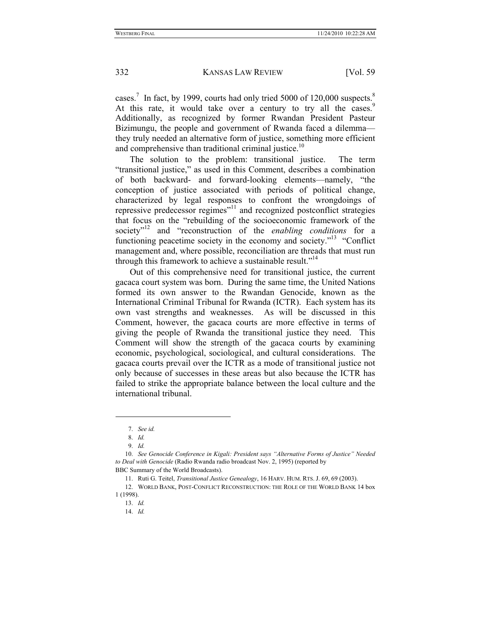cases.<sup>7</sup> In fact, by 1999, courts had only tried 5000 of 120,000 suspects. $8$ At this rate, it would take over a century to try all the cases.<sup>9</sup> Additionally, as recognized by former Rwandan President Pasteur Bizimungu, the people and government of Rwanda faced a dilemma they truly needed an alternative form of justice, something more efficient and comprehensive than traditional criminal justice.<sup>10</sup>

The solution to the problem: transitional justice. The term "transitional justice," as used in this Comment, describes a combination of both backward- and forward-looking elements—namely, "the conception of justice associated with periods of political change, characterized by legal responses to confront the wrongdoings of repressive predecessor regimes"11 and recognized postconflict strategies that focus on the "rebuilding of the socioeconomic framework of the society"<sup>12</sup> and "reconstruction of the *enabling conditions* for a functioning peacetime society in the economy and society."13 "Conflict management and, where possible, reconciliation are threads that must run through this framework to achieve a sustainable result."<sup>14</sup>

Out of this comprehensive need for transitional justice, the current gacaca court system was born. During the same time, the United Nations formed its own answer to the Rwandan Genocide, known as the International Criminal Tribunal for Rwanda (ICTR). Each system has its own vast strengths and weaknesses. As will be discussed in this Comment, however, the gacaca courts are more effective in terms of giving the people of Rwanda the transitional justice they need. This Comment will show the strength of the gacaca courts by examining economic, psychological, sociological, and cultural considerations. The gacaca courts prevail over the ICTR as a mode of transitional justice not only because of successes in these areas but also because the ICTR has failed to strike the appropriate balance between the local culture and the international tribunal.

<sup>7.</sup> *See id.*

<sup>8.</sup> *Id.*

<sup>9.</sup> *Id.*

<sup>10.</sup> *See Genocide Conference in Kigali: President says "Alternative Forms of Justice" Needed to Deal with Genocide* (Radio Rwanda radio broadcast Nov. 2, 1995) (reported by BBC Summary of the World Broadcasts).

 <sup>11.</sup> Ruti G. Teitel, *Transitional Justice Genealogy*, 16 HARV. HUM. RTS. J. 69, 69 (2003).

 <sup>12.</sup> WORLD BANK, POST-CONFLICT RECONSTRUCTION: THE ROLE OF THE WORLD BANK 14 box 1 (1998).

<sup>13.</sup> *Id.*

<sup>14.</sup> *Id.*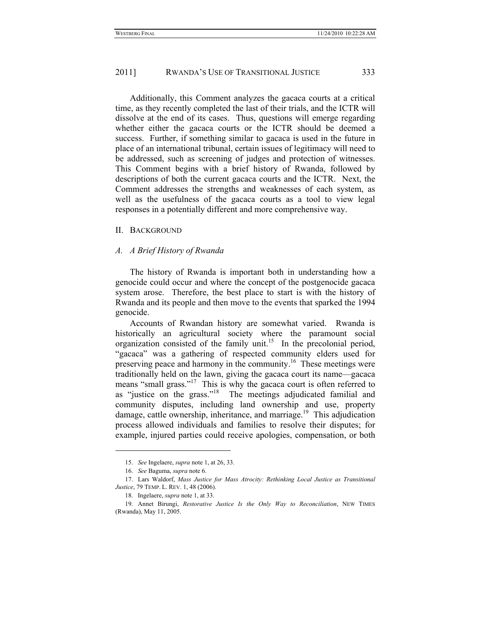Additionally, this Comment analyzes the gacaca courts at a critical time, as they recently completed the last of their trials, and the ICTR will dissolve at the end of its cases. Thus, questions will emerge regarding whether either the gacaca courts or the ICTR should be deemed a success. Further, if something similar to gacaca is used in the future in place of an international tribunal, certain issues of legitimacy will need to be addressed, such as screening of judges and protection of witnesses. This Comment begins with a brief history of Rwanda, followed by descriptions of both the current gacaca courts and the ICTR. Next, the Comment addresses the strengths and weaknesses of each system, as well as the usefulness of the gacaca courts as a tool to view legal responses in a potentially different and more comprehensive way.

#### II. BACKGROUND

#### *A. A Brief History of Rwanda*

The history of Rwanda is important both in understanding how a genocide could occur and where the concept of the postgenocide gacaca system arose. Therefore, the best place to start is with the history of Rwanda and its people and then move to the events that sparked the 1994 genocide.

Accounts of Rwandan history are somewhat varied. Rwanda is historically an agricultural society where the paramount social organization consisted of the family unit.<sup>15</sup> In the precolonial period, "gacaca" was a gathering of respected community elders used for preserving peace and harmony in the community.16 These meetings were traditionally held on the lawn, giving the gacaca court its name—gacaca means "small grass."<sup>17</sup> This is why the gacaca court is often referred to as "justice on the grass."18 The meetings adjudicated familial and community disputes, including land ownership and use, property damage, cattle ownership, inheritance, and marriage.<sup>19</sup> This adjudication process allowed individuals and families to resolve their disputes; for example, injured parties could receive apologies, compensation, or both

<sup>15.</sup> *See* Ingelaere, *supra* note 1, at 26, 33.

<sup>16.</sup> *See* Baguma, *supra* note 6.

 <sup>17.</sup> Lars Waldorf, *Mass Justice for Mass Atrocity: Rethinking Local Justice as Transitional Justice*, 79 TEMP. L. REV. 1, 48 (2006).

 <sup>18.</sup> Ingelaere, *supra* note 1, at 33.

 <sup>19.</sup> Annet Birungi, *Restorative Justice Is the Only Way to Reconciliation*, NEW TIMES (Rwanda), May 11, 2005.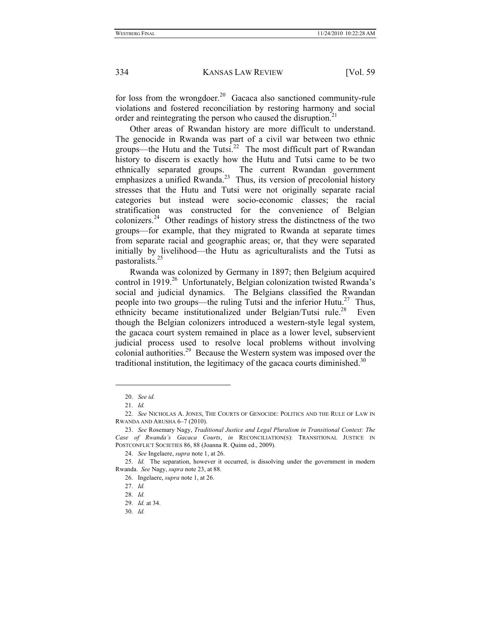for loss from the wrongdoer.<sup>20</sup> Gacaca also sanctioned community-rule violations and fostered reconciliation by restoring harmony and social order and reintegrating the person who caused the disruption.<sup>21</sup>

Other areas of Rwandan history are more difficult to understand. The genocide in Rwanda was part of a civil war between two ethnic groups—the Hutu and the Tutsi.<sup>22</sup> The most difficult part of Rwandan history to discern is exactly how the Hutu and Tutsi came to be two ethnically separated groups. The current Rwandan government emphasizes a unified Rwanda.<sup>23</sup> Thus, its version of precolonial history stresses that the Hutu and Tutsi were not originally separate racial categories but instead were socio-economic classes; the racial stratification was constructed for the convenience of Belgian colonizers.24 Other readings of history stress the distinctness of the two groups—for example, that they migrated to Rwanda at separate times from separate racial and geographic areas; or, that they were separated initially by livelihood—the Hutu as agriculturalists and the Tutsi as pastoralists.<sup>25</sup>

Rwanda was colonized by Germany in 1897; then Belgium acquired control in 1919.<sup>26</sup> Unfortunately, Belgian colonization twisted Rwanda's social and judicial dynamics. The Belgians classified the Rwandan people into two groups—the ruling Tutsi and the inferior Hutu.<sup>27</sup> Thus, ethnicity became institutionalized under Belgian/Tutsi rule.<sup>28</sup> Even though the Belgian colonizers introduced a western-style legal system, the gacaca court system remained in place as a lower level, subservient judicial process used to resolve local problems without involving colonial authorities.29 Because the Western system was imposed over the traditional institution, the legitimacy of the gacaca courts diminished.<sup>30</sup>

<sup>20.</sup> *See id.*

<sup>21.</sup> *Id.*

<sup>22.</sup> *See* NICHOLAS A. JONES, THE COURTS OF GENOCIDE: POLITICS AND THE RULE OF LAW IN RWANDA AND ARUSHA 6–7 (2010).

<sup>23.</sup> *See* Rosemary Nagy, *Traditional Justice and Legal Pluralism in Transitional Context: The Case of Rwanda's Gacaca Courts*, *in* RECONCILIATION(S): TRANSITIONAL JUSTICE IN POSTCONFLICT SOCIETIES 86, 88 (Joanna R. Quinn ed., 2009).

<sup>24.</sup> *See* Ingelaere, *supra* note 1, at 26.

<sup>25.</sup> *Id.* The separation, however it occurred, is dissolving under the government in modern Rwanda. *See* Nagy, *supra* note 23, at 88.

 <sup>26.</sup> Ingelaere, *supra* note 1, at 26.

<sup>27.</sup> *Id.*

<sup>28.</sup> *Id.*

<sup>29.</sup> *Id.* at 34.

<sup>30.</sup> *Id.*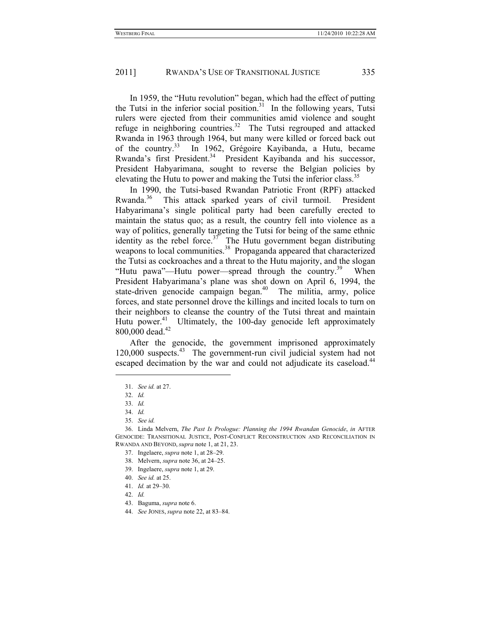In 1959, the "Hutu revolution" began, which had the effect of putting the Tutsi in the inferior social position.<sup>31</sup> In the following years, Tutsi rulers were ejected from their communities amid violence and sought refuge in neighboring countries.<sup>32</sup> The Tutsi regrouped and attacked Rwanda in 1963 through 1964, but many were killed or forced back out of the country.33 In 1962, Grégoire Kayibanda, a Hutu, became Rwanda's first President.<sup>34</sup> President Kayibanda and his successor, President Habyarimana, sought to reverse the Belgian policies by elevating the Hutu to power and making the Tutsi the inferior class.<sup>35</sup>

In 1990, the Tutsi-based Rwandan Patriotic Front (RPF) attacked Rwanda.<sup>36</sup> This attack sparked years of civil turmoil. President Habyarimana's single political party had been carefully erected to maintain the status quo; as a result, the country fell into violence as a way of politics, generally targeting the Tutsi for being of the same ethnic identity as the rebel force.<sup>37</sup> The Hutu government began distributing weapons to local communities.<sup>38</sup> Propaganda appeared that characterized the Tutsi as cockroaches and a threat to the Hutu majority, and the slogan "Hutu pawa"—Hutu power—spread through the country.<sup>39</sup> When President Habyarimana's plane was shot down on April 6, 1994, the state-driven genocide campaign began. $40$  The militia, army, police forces, and state personnel drove the killings and incited locals to turn on their neighbors to cleanse the country of the Tutsi threat and maintain Hutu power.<sup>41</sup> Ultimately, the 100-day genocide left approximately 800,000 dead.<sup>42</sup>

After the genocide, the government imprisoned approximately 120,000 suspects.43 The government-run civil judicial system had not escaped decimation by the war and could not adjudicate its caseload.<sup>44</sup>

<sup>31.</sup> *See id.* at 27.

<sup>32.</sup> *Id.*

<sup>33.</sup> *Id.*

<sup>34.</sup> *Id.*

<sup>35.</sup> *See id.*

 <sup>36.</sup> Linda Melvern, *The Past Is Prologue: Planning the 1994 Rwandan Genocide*, *in* AFTER GENOCIDE: TRANSITIONAL JUSTICE, POST-CONFLICT RECONSTRUCTION AND RECONCILIATION IN RWANDA AND BEYOND, *supra* note 1, at 21, 23.

 <sup>37.</sup> Ingelaere, *supra* note 1, at 28–29.

 <sup>38.</sup> Melvern, *supra* note 36, at 24–25.

 <sup>39.</sup> Ingelaere, *supra* note 1, at 29.

<sup>40.</sup> *See id.* at 25.

<sup>41.</sup> *Id.* at 29–30.

<sup>42.</sup> *Id.*

 <sup>43.</sup> Baguma, *supra* note 6.

<sup>44.</sup> *See* JONES, *supra* note 22, at 83–84.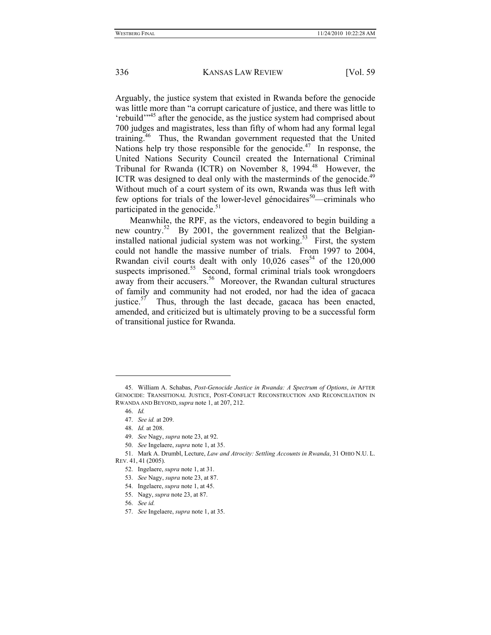Arguably, the justice system that existed in Rwanda before the genocide was little more than "a corrupt caricature of justice, and there was little to 'rebuild'"45 after the genocide, as the justice system had comprised about 700 judges and magistrates, less than fifty of whom had any formal legal training.46 Thus, the Rwandan government requested that the United Nations help try those responsible for the genocide.<sup>47</sup> In response, the United Nations Security Council created the International Criminal Tribunal for Rwanda (ICTR) on November 8, 1994.<sup>48</sup> However, the ICTR was designed to deal only with the masterminds of the genocide.<sup>49</sup> Without much of a court system of its own, Rwanda was thus left with few options for trials of the lower-level génocidaires<sup>50</sup>—criminals who participated in the genocide. $51$ 

Meanwhile, the RPF, as the victors, endeavored to begin building a new country.<sup>52</sup> By 2001, the government realized that the Belgianinstalled national judicial system was not working. $53$  First, the system could not handle the massive number of trials. From 1997 to 2004, Rwandan civil courts dealt with only  $10,026$  cases<sup>54</sup> of the  $120,000$ suspects imprisoned.<sup>55</sup> Second, formal criminal trials took wrongdoers away from their accusers.<sup>56</sup> Moreover, the Rwandan cultural structures of family and community had not eroded, nor had the idea of gacaca justice. $57$  Thus, through the last decade, gacaca has been enacted, amended, and criticized but is ultimately proving to be a successful form of transitional justice for Rwanda.

1

56. *See id.*

 <sup>45.</sup> William A. Schabas, *Post-Genocide Justice in Rwanda: A Spectrum of Options*, *in* AFTER GENOCIDE: TRANSITIONAL JUSTICE, POST-CONFLICT RECONSTRUCTION AND RECONCILIATION IN RWANDA AND BEYOND, *supra* note 1, at 207, 212.

<sup>46.</sup> *Id.*

<sup>47.</sup> *See id.* at 209.

<sup>48.</sup> *Id.* at 208.

<sup>49.</sup> *See* Nagy, *supra* note 23, at 92.

<sup>50.</sup> *See* Ingelaere, *supra* note 1, at 35.

 <sup>51.</sup> Mark A. Drumbl, Lecture, *Law and Atrocity: Settling Accounts in Rwanda*, 31 OHIO N.U. L. REV. 41, 41 (2005).

 <sup>52.</sup> Ingelaere, *supra* note 1, at 31.

<sup>53.</sup> *See* Nagy, *supra* note 23, at 87.

 <sup>54.</sup> Ingelaere, *supra* note 1, at 45.

 <sup>55.</sup> Nagy, *supra* note 23, at 87.

<sup>57.</sup> *See* Ingelaere, *supra* note 1, at 35.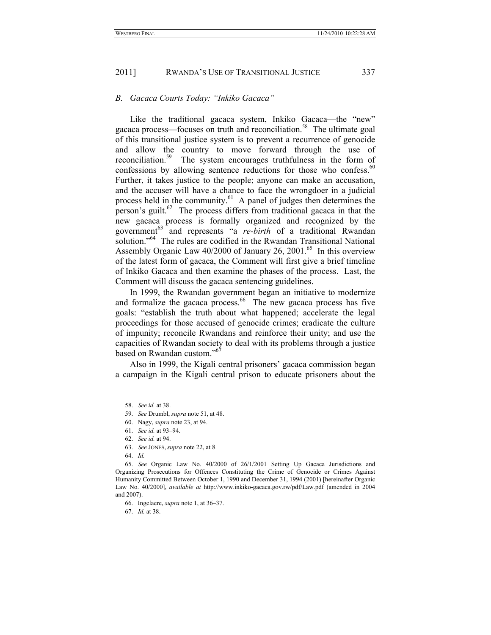### *B. Gacaca Courts Today: "Inkiko Gacaca"*

Like the traditional gacaca system, Inkiko Gacaca—the "new" gacaca process—focuses on truth and reconciliation.<sup>58</sup> The ultimate goal of this transitional justice system is to prevent a recurrence of genocide and allow the country to move forward through the use of reconciliation.<sup>59</sup> The system encourages truthfulness in the form of confessions by allowing sentence reductions for those who confess.<sup>60</sup> Further, it takes justice to the people; anyone can make an accusation, and the accuser will have a chance to face the wrongdoer in a judicial process held in the community. $^{61}$  A panel of judges then determines the person's guilt.<sup>62</sup> The process differs from traditional gacaca in that the new gacaca process is formally organized and recognized by the government<sup>63</sup> and represents "a *re-birth* of a traditional Rwandan solution."<sup>64</sup> The rules are codified in the Rwandan Transitional National Assembly Organic Law  $40/2000$  of January 26, 2001.<sup>65</sup> In this overview of the latest form of gacaca, the Comment will first give a brief timeline of Inkiko Gacaca and then examine the phases of the process. Last, the Comment will discuss the gacaca sentencing guidelines.

In 1999, the Rwandan government began an initiative to modernize and formalize the gacaca process.<sup>66</sup> The new gacaca process has five goals: "establish the truth about what happened; accelerate the legal proceedings for those accused of genocide crimes; eradicate the culture of impunity; reconcile Rwandans and reinforce their unity; and use the capacities of Rwandan society to deal with its problems through a justice based on Rwandan custom."<sup>67</sup>

Also in 1999, the Kigali central prisoners' gacaca commission began a campaign in the Kigali central prison to educate prisoners about the

<sup>58.</sup> *See id.* at 38.

<sup>59.</sup> *See* Drumbl, *supra* note 51, at 48.

 <sup>60.</sup> Nagy, *supra* note 23, at 94.

<sup>61.</sup> *See id.* at 93–94.

<sup>62.</sup> *See id.* at 94.

<sup>63.</sup> *See* JONES, *supra* note 22, at 8.

<sup>64.</sup> *Id.*

<sup>65.</sup> *See* Organic Law No. 40/2000 of 26/1/2001 Setting Up Gacaca Jurisdictions and Organizing Prosecutions for Offences Constituting the Crime of Genocide or Crimes Against Humanity Committed Between October 1, 1990 and December 31, 1994 (2001) [hereinafter Organic Law No. 40/2000], *available at* http://www.inkiko-gacaca.gov.rw/pdf/Law.pdf (amended in 2004 and 2007).

 <sup>66.</sup> Ingelaere, *supra* note 1, at 36–37.

<sup>67.</sup> *Id.* at 38.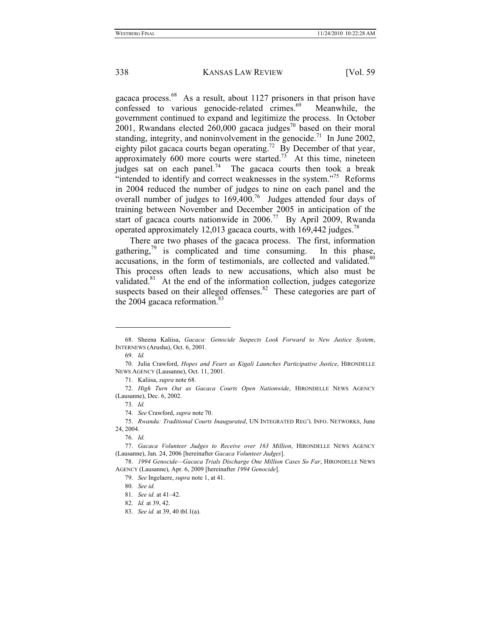gacaca process.68 As a result, about 1127 prisoners in that prison have confessed to various genocide-related crimes.<sup>69</sup> Meanwhile, the government continued to expand and legitimize the process. In October 2001, Rwandans elected 260,000 gacaca judges<sup>70</sup> based on their moral standing, integrity, and noninvolvement in the genocide.<sup>71</sup> In June 2002, eighty pilot gacaca courts began operating.<sup>72</sup> By December of that year, approximately 600 more courts were started.<sup>73</sup> At this time, nineteen judges sat on each panel.<sup>74</sup> The gacaca courts then took a break "intended to identify and correct weaknesses in the system."<sup>75</sup> Reforms in 2004 reduced the number of judges to nine on each panel and the overall number of judges to 169,400.<sup>76</sup> Judges attended four days of training between November and December 2005 in anticipation of the start of gacaca courts nationwide in 2006.<sup>77</sup> By April 2009, Rwanda operated approximately 12,013 gacaca courts, with  $169,442$  judges.<sup>78</sup>

There are two phases of the gacaca process. The first, information gathering, $\frac{79}{15}$  is complicated and time consuming. In this phase, accusations, in the form of testimonials, are collected and validated.<sup>80</sup> This process often leads to new accusations, which also must be validated.<sup>81</sup> At the end of the information collection, judges categorize suspects based on their alleged offenses. $82$  These categories are part of the 2004 gacaca reformation. $83$ 

 <sup>68.</sup> Sheena Kaliisa, *Gacaca: Genocide Suspects Look Forward to New Justice System*, INTERNEWS (Arusha), Oct. 6, 2001.

<sup>69.</sup> *Id.*

 <sup>70.</sup> Julia Crawford, *Hopes and Fears as Kigali Launches Participative Justice*, HIRONDELLE NEWS AGENCY (Lausanne), Oct. 11, 2001.

 <sup>71.</sup> Kaliisa, *supra* note 68.

<sup>72.</sup> *High Turn Out as Gacaca Courts Open Nationwide*, HIRONDELLE NEWS AGENCY (Lausanne), Dec. 6, 2002.

<sup>73.</sup> *Id.*

<sup>74.</sup> *See* Crawford, *supra* note 70.

<sup>75.</sup> *Rwanda: Traditional Courts Inaugurated*, UN INTEGRATED REG'L INFO. NETWORKS, June 24, 2004.

<sup>76.</sup> *Id.*

<sup>77.</sup> *Gacaca Volunteer Judges to Receive over 163 Million*, HIRONDELLE NEWS AGENCY (Lausanne), Jan. 24, 2006 [hereinafter *Gacaca Volunteer Judges*].

<sup>78.</sup> *1994 Genocide—Gacaca Trials Discharge One Million Cases So Far*, HIRONDELLE NEWS AGENCY (Lausanne), Apr. 6, 2009 [hereinafter *1994 Genocide*].

<sup>79.</sup> *See* Ingelaere, *supra* note 1, at 41.

<sup>80.</sup> *See id.*

<sup>81.</sup> *See id.* at 41–42.

<sup>82.</sup> *Id.* at 39, 42.

<sup>83.</sup> *See id.* at 39, 40 tbl.1(a).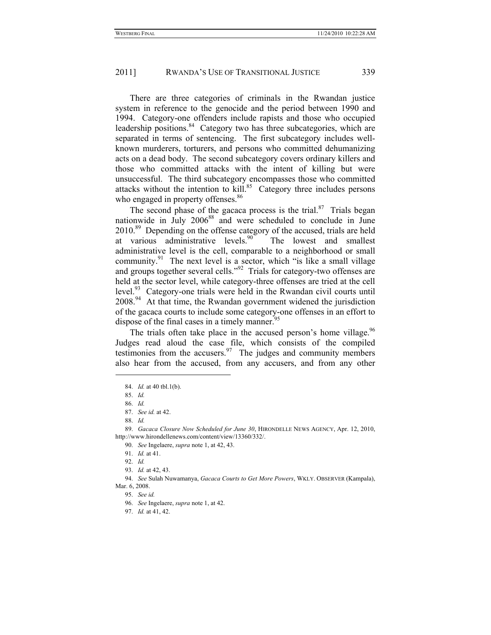There are three categories of criminals in the Rwandan justice system in reference to the genocide and the period between 1990 and 1994. Category-one offenders include rapists and those who occupied leadership positions.<sup>84</sup> Category two has three subcategories, which are separated in terms of sentencing. The first subcategory includes wellknown murderers, torturers, and persons who committed dehumanizing acts on a dead body. The second subcategory covers ordinary killers and those who committed attacks with the intent of killing but were unsuccessful. The third subcategory encompasses those who committed attacks without the intention to kill.<sup>85</sup> Category three includes persons who engaged in property offenses.<sup>86</sup>

The second phase of the gacaca process is the trial.<sup>87</sup> Trials began nationwide in July 2006<sup>88</sup> and were scheduled to conclude in June 2010.<sup>89</sup> Depending on the offense category of the accused, trials are held at various administrative levels.<sup>90</sup> The lowest and smallest administrative level is the cell, comparable to a neighborhood or small community.<sup>91</sup> The next level is a sector, which "is like a small village and groups together several cells."<sup>92</sup> Trials for category-two offenses are held at the sector level, while category-three offenses are tried at the cell level.93 Category-one trials were held in the Rwandan civil courts until 2008.94 At that time, the Rwandan government widened the jurisdiction of the gacaca courts to include some category-one offenses in an effort to dispose of the final cases in a timely manner.<sup>95</sup>

The trials often take place in the accused person's home village.  $96$ Judges read aloud the case file, which consists of the compiled testimonies from the accusers. $97$  The judges and community members also hear from the accused, from any accusers, and from any other

1

89. *Gacaca Closure Now Scheduled for June 30*, HIRONDELLE NEWS AGENCY, Apr. 12, 2010, http://www.hirondellenews.com/content/view/13360/332/.

94. *See* Sulah Nuwamanya, *Gacaca Courts to Get More Powers*, WKLY. OBSERVER (Kampala), Mar. 6, 2008.

97. *Id.* at 41, 42.

<sup>84.</sup> *Id.* at 40 tbl.1(b).

<sup>85.</sup> *Id.*

<sup>86.</sup> *Id.*

<sup>87.</sup> *See id.* at 42.

<sup>88.</sup> *Id.*

<sup>90.</sup> *See* Ingelaere, *supra* note 1, at 42, 43.

<sup>91.</sup> *Id.* at 41.

<sup>92.</sup> *Id.*

<sup>93.</sup> *Id.* at 42, 43.

<sup>95.</sup> *See id.*

<sup>96.</sup> *See* Ingelaere, *supra* note 1, at 42.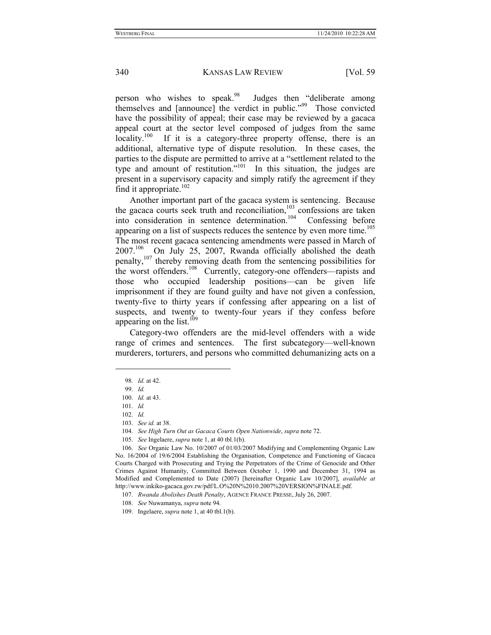person who wishes to speak.<sup>98</sup> Judges then "deliberate among themselves and [announce] the verdict in public."<sup>99</sup> Those convicted have the possibility of appeal; their case may be reviewed by a gacaca appeal court at the sector level composed of judges from the same locality.<sup>100</sup> If it is a category-three property offense, there is an additional, alternative type of dispute resolution. In these cases, the parties to the dispute are permitted to arrive at a "settlement related to the type and amount of restitution."<sup>101</sup> In this situation, the judges are present in a supervisory capacity and simply ratify the agreement if they find it appropriate. $102$ 

Another important part of the gacaca system is sentencing. Because the gacaca courts seek truth and reconciliation,<sup>103</sup> confessions are taken into consideration in sentence determination.<sup>104</sup> Confessing before appearing on a list of suspects reduces the sentence by even more time.<sup>105</sup> The most recent gacaca sentencing amendments were passed in March of 2007.106 On July 25, 2007, Rwanda officially abolished the death penalty,107 thereby removing death from the sentencing possibilities for the worst offenders.<sup>108</sup> Currently, category-one offenders—rapists and those who occupied leadership positions—can be given life imprisonment if they are found guilty and have not given a confession, twenty-five to thirty years if confessing after appearing on a list of suspects, and twenty to twenty-four years if they confess before appearing on the list.<sup>109</sup>

Category-two offenders are the mid-level offenders with a wide range of crimes and sentences. The first subcategory—well-known murderers, torturers, and persons who committed dehumanizing acts on a

<sup>98.</sup> *Id.* at 42.

<sup>99.</sup> *Id.*

<sup>100.</sup> *Id.* at 43.

<sup>101.</sup> *Id.*

<sup>102.</sup> *Id.*

<sup>103.</sup> *See id.* at 38.

<sup>104.</sup> *See High Turn Out as Gacaca Courts Open Nationwide*, *supra* note 72.

<sup>105.</sup> *See* Ingelaere, *supra* note 1, at 40 tbl.1(b).

<sup>106.</sup> *See* Organic Law No. 10/2007 of 01/03/2007 Modifying and Complementing Organic Law No. 16/2004 of 19/6/2004 Establishing the Organisation, Competence and Functioning of Gacaca Courts Charged with Prosecuting and Trying the Perpetrators of the Crime of Genocide and Other Crimes Against Humanity, Committed Between October 1, 1990 and December 31, 1994 as Modified and Complemented to Date (2007) [hereinafter Organic Law 10/2007], *available at*  http://www.inkiko-gacaca.gov.rw/pdf/L.O%20N%2010.2007%20VERSION%FINALE.pdf.

<sup>107.</sup> *Rwanda Abolishes Death Penalty*, AGENCE FRANCE PRESSE, July 26, 2007.

<sup>108.</sup> *See* Nuwamanya, *supra* note 94.

 <sup>109.</sup> Ingelaere, *supra* note 1, at 40 tbl.1(b).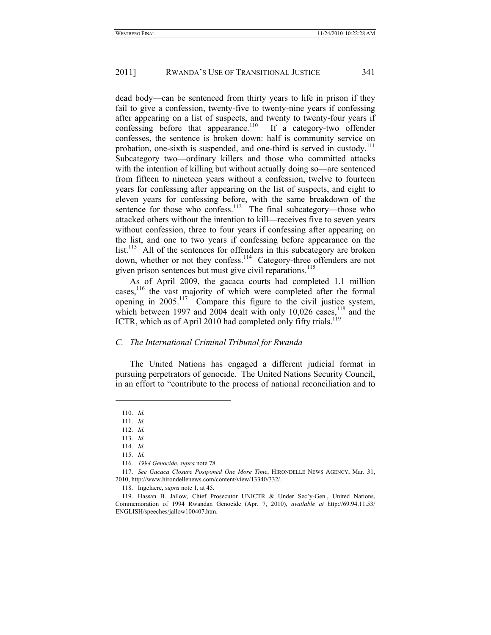dead body—can be sentenced from thirty years to life in prison if they fail to give a confession, twenty-five to twenty-nine years if confessing after appearing on a list of suspects, and twenty to twenty-four years if confessing before that appearance.<sup>110</sup> If a category-two offender confesses, the sentence is broken down: half is community service on probation, one-sixth is suspended, and one-third is served in custody.<sup>111</sup> Subcategory two—ordinary killers and those who committed attacks with the intention of killing but without actually doing so—are sentenced from fifteen to nineteen years without a confession, twelve to fourteen years for confessing after appearing on the list of suspects, and eight to eleven years for confessing before, with the same breakdown of the sentence for those who confess.<sup>112</sup> The final subcategory—those who attacked others without the intention to kill—receives five to seven years without confession, three to four years if confessing after appearing on the list, and one to two years if confessing before appearance on the list.<sup>113</sup> All of the sentences for offenders in this subcategory are broken down, whether or not they confess.<sup>114</sup> Category-three offenders are not given prison sentences but must give civil reparations.<sup>115</sup>

As of April 2009, the gacaca courts had completed 1.1 million cases,<sup>116</sup> the vast majority of which were completed after the formal opening in 2005.117 Compare this figure to the civil justice system, which between 1997 and  $2004$  dealt with only 10,026 cases,<sup>118</sup> and the ICTR, which as of April 2010 had completed only fifty trials.<sup>119</sup>

#### *C. The International Criminal Tribunal for Rwanda*

The United Nations has engaged a different judicial format in pursuing perpetrators of genocide. The United Nations Security Council, in an effort to "contribute to the process of national reconciliation and to

<sup>110.</sup> *Id.*

<sup>111.</sup> *Id.*

<sup>112.</sup> *Id.*

<sup>113.</sup> *Id.*

<sup>114.</sup> *Id.*

<sup>115.</sup> *Id.*

<sup>116.</sup> *1994 Genocide*, *supra* note 78.

<sup>117.</sup> *See Gacaca Closure Postponed One More Time*, HIRONDELLE NEWS AGENCY, Mar. 31, 2010, http://www.hirondellenews.com/content/view/13340/332/.

 <sup>118.</sup> Ingelaere, *supra* note 1, at 45.

 <sup>119.</sup> Hassan B. Jallow, Chief Prosecutor UNICTR & Under Sec'y-Gen., United Nations, Commemoration of 1994 Rwandan Genocide (Apr. 7, 2010), *available at* http://69.94.11.53/ ENGLISH/speeches/jallow100407.htm.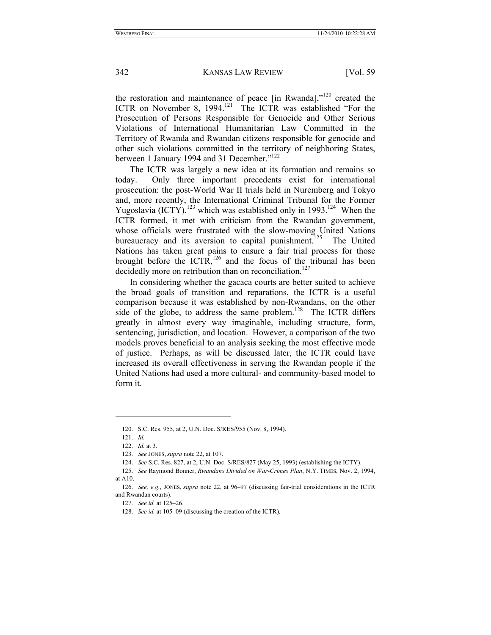the restoration and maintenance of peace [in Rwanda],"120 created the ICTR on November 8, 1994.<sup>121</sup> The ICTR was established "For the Prosecution of Persons Responsible for Genocide and Other Serious Violations of International Humanitarian Law Committed in the Territory of Rwanda and Rwandan citizens responsible for genocide and other such violations committed in the territory of neighboring States, between 1 January 1994 and 31 December."<sup>122</sup>

The ICTR was largely a new idea at its formation and remains so today. Only three important precedents exist for international prosecution: the post-World War II trials held in Nuremberg and Tokyo and, more recently, the International Criminal Tribunal for the Former Yugoslavia (ICTY),  $^{123}$  which was established only in 1993.<sup>124</sup> When the ICTR formed, it met with criticism from the Rwandan government, whose officials were frustrated with the slow-moving United Nations bureaucracy and its aversion to capital punishment.<sup>125</sup> The United Nations has taken great pains to ensure a fair trial process for those brought before the  $\text{ICTR}$ ,<sup>126</sup> and the focus of the tribunal has been decidedly more on retribution than on reconciliation.<sup>127</sup>

In considering whether the gacaca courts are better suited to achieve the broad goals of transition and reparations, the ICTR is a useful comparison because it was established by non-Rwandans, on the other side of the globe, to address the same problem.<sup>128</sup> The ICTR differs greatly in almost every way imaginable, including structure, form, sentencing, jurisdiction, and location. However, a comparison of the two models proves beneficial to an analysis seeking the most effective mode of justice. Perhaps, as will be discussed later, the ICTR could have increased its overall effectiveness in serving the Rwandan people if the United Nations had used a more cultural- and community-based model to form it.

 <sup>120.</sup> S.C. Res. 955, at 2, U.N. Doc. S/RES/955 (Nov. 8, 1994).

<sup>121.</sup> *Id.*

<sup>122.</sup> *Id.* at 3.

<sup>123.</sup> *See* JONES, *supra* note 22, at 107.

<sup>124.</sup> *See* S.C. Res. 827, at 2, U.N. Doc. S/RES/827 (May 25, 1993) (establishing the ICTY).

<sup>125.</sup> *See* Raymond Bonner, *Rwandans Divided on War-Crimes Plan*, N.Y. TIMES, Nov. 2, 1994, at A10.

<sup>126.</sup> *See, e.g.*, JONES, *supra* note 22, at 96–97 (discussing fair-trial considerations in the ICTR and Rwandan courts).

<sup>127.</sup> *See id.* at 125–26.

<sup>128.</sup> *See id.* at 105–09 (discussing the creation of the ICTR).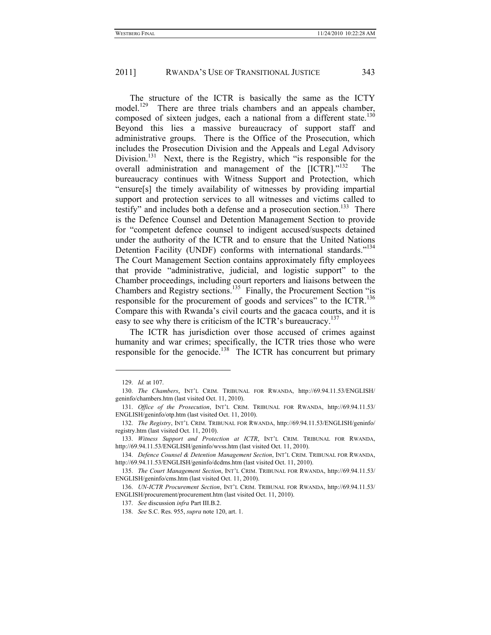The structure of the ICTR is basically the same as the ICTY model.<sup>129</sup> There are three trials chambers and an appeals chamber, composed of sixteen judges, each a national from a different state.<sup>130</sup> Beyond this lies a massive bureaucracy of support staff and administrative groups. There is the Office of the Prosecution, which includes the Prosecution Division and the Appeals and Legal Advisory Division.<sup>131</sup> Next, there is the Registry, which "is responsible for the overall administration and management of the [ICTR]."<sup>132</sup> The bureaucracy continues with Witness Support and Protection, which "ensure[s] the timely availability of witnesses by providing impartial support and protection services to all witnesses and victims called to testify" and includes both a defense and a prosecution section.<sup>133</sup> There is the Defence Counsel and Detention Management Section to provide for "competent defence counsel to indigent accused/suspects detained under the authority of the ICTR and to ensure that the United Nations Detention Facility (UNDF) conforms with international standards."<sup>134</sup> The Court Management Section contains approximately fifty employees that provide "administrative, judicial, and logistic support" to the Chamber proceedings, including court reporters and liaisons between the Chambers and Registry sections.<sup>135</sup> Finally, the Procurement Section "is responsible for the procurement of goods and services" to the ICTR.<sup>136</sup> Compare this with Rwanda's civil courts and the gacaca courts, and it is easy to see why there is criticism of the ICTR's bureaucracy.<sup>137</sup>

The ICTR has jurisdiction over those accused of crimes against humanity and war crimes; specifically, the ICTR tries those who were responsible for the genocide.<sup>138</sup> The ICTR has concurrent but primary

<sup>129.</sup> *Id.* at 107.

<sup>130.</sup> *The Chambers*, INT'L CRIM. TRIBUNAL FOR RWANDA, http://69.94.11.53/ENGLISH/ geninfo/chambers.htm (last visited Oct. 11, 2010).

<sup>131.</sup> *Office of the Prosecution*, INT'L CRIM. TRIBUNAL FOR RWANDA, http://69.94.11.53/ ENGLISH/geninfo/otp.htm (last visited Oct. 11, 2010).

<sup>132.</sup> *The Registry*, INT'L CRIM. TRIBUNAL FOR RWANDA, http://69.94.11.53/ENGLISH/geninfo/ registry.htm (last visited Oct. 11, 2010).

<sup>133.</sup> *Witness Support and Protection at ICTR*, INT'L CRIM. TRIBUNAL FOR RWANDA, http://69.94.11.53/ENGLISH/geninfo/wvss.htm (last visited Oct. 11, 2010).

<sup>134.</sup> *Defence Counsel & Detention Management Section*, INT'L CRIM. TRIBUNAL FOR RWANDA, http://69.94.11.53/ENGLISH/geninfo/dcdms.htm (last visited Oct. 11, 2010).

<sup>135.</sup> *The Court Management Section*, INT'L CRIM. TRIBUNAL FOR RWANDA, http://69.94.11.53/ ENGLISH/geninfo/cms.htm (last visited Oct. 11, 2010).

<sup>136.</sup> *UN-ICTR Procurement Section*, INT'L CRIM. TRIBUNAL FOR RWANDA, http://69.94.11.53/ ENGLISH/procurement/procurement.htm (last visited Oct. 11, 2010).

<sup>137.</sup> *See* discussion *infra* Part III.B.2.

<sup>138.</sup> *See* S.C. Res. 955, *supra* note 120, art. 1.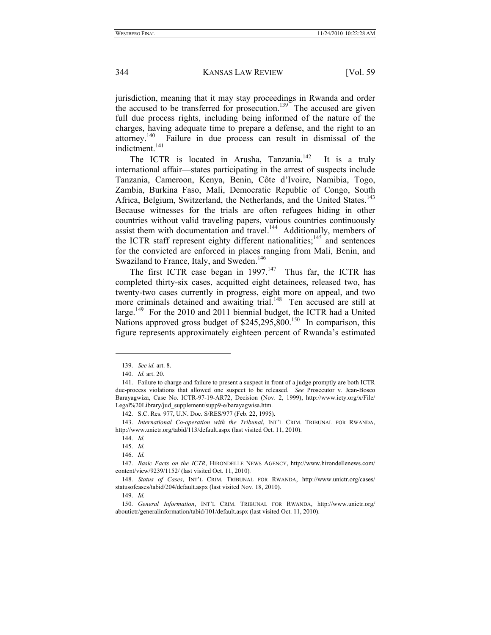jurisdiction, meaning that it may stay proceedings in Rwanda and order the accused to be transferred for prosecution.<sup>139</sup> The accused are given full due process rights, including being informed of the nature of the charges, having adequate time to prepare a defense, and the right to an attorney.140 Failure in due process can result in dismissal of the indictment.<sup>141</sup>

The ICTR is located in Arusha, Tanzania.<sup>142</sup> It is a truly international affair—states participating in the arrest of suspects include Tanzania, Cameroon, Kenya, Benin, Côte d'Ivoire, Namibia, Togo, Zambia, Burkina Faso, Mali, Democratic Republic of Congo, South Africa, Belgium, Switzerland, the Netherlands, and the United States.<sup>143</sup> Because witnesses for the trials are often refugees hiding in other countries without valid traveling papers, various countries continuously assist them with documentation and travel.<sup>144</sup> Additionally, members of the ICTR staff represent eighty different nationalities; $145$  and sentences for the convicted are enforced in places ranging from Mali, Benin, and Swaziland to France, Italy, and Sweden.<sup>146</sup>

The first ICTR case began in  $1997<sup>147</sup>$  Thus far, the ICTR has completed thirty-six cases, acquitted eight detainees, released two, has twenty-two cases currently in progress, eight more on appeal, and two more criminals detained and awaiting trial.<sup>148</sup> Ten accused are still at large.<sup>149</sup> For the 2010 and 2011 biennial budget, the ICTR had a United Nations approved gross budget of  $$245,295,800<sup>150</sup>$  In comparison, this figure represents approximately eighteen percent of Rwanda's estimated

<sup>139.</sup> *See id.* art. 8.

<sup>140.</sup> *Id.* art. 20.

 <sup>141.</sup> Failure to charge and failure to present a suspect in front of a judge promptly are both ICTR due-process violations that allowed one suspect to be released. *See* Prosecutor v. Jean-Bosco Barayagwiza, Case No. ICTR-97-19-AR72, Decision (Nov. 2, 1999), http://www.icty.org/x/File/ Legal%20Library/jud\_supplement/supp9-e/barayagwisa.htm.

 <sup>142.</sup> S.C. Res. 977, U.N. Doc. S/RES/977 (Feb. 22, 1995).

<sup>143.</sup> *International Co-operation with the Tribunal*, INT'L CRIM. TRIBUNAL FOR RWANDA, http://www.unictr.org/tabid/113/default.aspx (last visited Oct. 11, 2010).

<sup>144.</sup> *Id.*

<sup>145.</sup> *Id.*

<sup>146.</sup> *Id.*

<sup>147.</sup> *Basic Facts on the ICTR*, HIRONDELLE NEWS AGENCY, http://www.hirondellenews.com/ content/view/9239/1152/ (last visited Oct. 11, 2010)*.*

<sup>148.</sup> *Status of Cases*, INT'L CRIM. TRIBUNAL FOR RWANDA, http://www.unictr.org/cases/ statusofcases/tabid/204/default.aspx (last visited Nov. 18, 2010).

<sup>149.</sup> *Id.*

<sup>150.</sup> *General Information*, INT'L CRIM. TRIBUNAL FOR RWANDA, http://www.unictr.org/ aboutictr/generalinformation/tabid/101/default.aspx (last visited Oct. 11, 2010).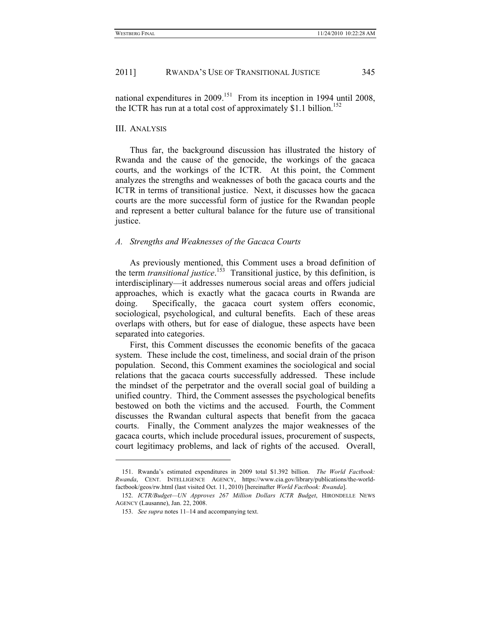national expenditures in 2009.<sup>151</sup> From its inception in 1994 until 2008, the ICTR has run at a total cost of approximately  $$1.1$  billion.<sup>152</sup>

#### III. ANALYSIS

Thus far, the background discussion has illustrated the history of Rwanda and the cause of the genocide, the workings of the gacaca courts, and the workings of the ICTR. At this point, the Comment analyzes the strengths and weaknesses of both the gacaca courts and the ICTR in terms of transitional justice. Next, it discusses how the gacaca courts are the more successful form of justice for the Rwandan people and represent a better cultural balance for the future use of transitional justice.

### *A. Strengths and Weaknesses of the Gacaca Courts*

As previously mentioned, this Comment uses a broad definition of the term *transitional justice*. 153 Transitional justice, by this definition, is interdisciplinary—it addresses numerous social areas and offers judicial approaches, which is exactly what the gacaca courts in Rwanda are doing. Specifically, the gacaca court system offers economic, sociological, psychological, and cultural benefits. Each of these areas overlaps with others, but for ease of dialogue, these aspects have been separated into categories.

First, this Comment discusses the economic benefits of the gacaca system. These include the cost, timeliness, and social drain of the prison population. Second, this Comment examines the sociological and social relations that the gacaca courts successfully addressed. These include the mindset of the perpetrator and the overall social goal of building a unified country. Third, the Comment assesses the psychological benefits bestowed on both the victims and the accused. Fourth, the Comment discusses the Rwandan cultural aspects that benefit from the gacaca courts. Finally, the Comment analyzes the major weaknesses of the gacaca courts, which include procedural issues, procurement of suspects, court legitimacy problems, and lack of rights of the accused. Overall,

 <sup>151.</sup> Rwanda's estimated expenditures in 2009 total \$1.392 billion. *The World Factbook: Rwanda*, CENT. INTELLIGENCE AGENCY, https://www.cia.gov/library/publications/the-worldfactbook/geos/rw.html (last visited Oct. 11, 2010) [hereinafter *World Factbook: Rwanda*].

<sup>152.</sup> *ICTR/Budget—UN Approves 267 Million Dollars ICTR Budget*, HIRONDELLE NEWS AGENCY (Lausanne), Jan. 22, 2008.

<sup>153.</sup> *See supra* notes 11–14 and accompanying text.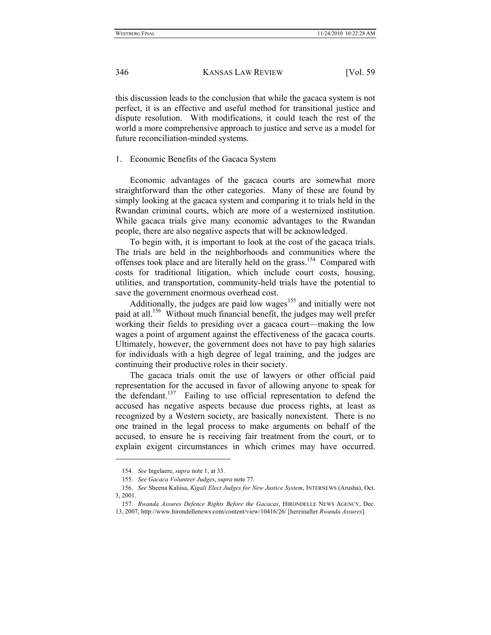this discussion leads to the conclusion that while the gacaca system is not perfect, it is an effective and useful method for transitional justice and dispute resolution. With modifications, it could teach the rest of the world a more comprehensive approach to justice and serve as a model for future reconciliation-minded systems.

### 1. Economic Benefits of the Gacaca System

Economic advantages of the gacaca courts are somewhat more straightforward than the other categories. Many of these are found by simply looking at the gacaca system and comparing it to trials held in the Rwandan criminal courts, which are more of a westernized institution. While gacaca trials give many economic advantages to the Rwandan people, there are also negative aspects that will be acknowledged.

To begin with, it is important to look at the cost of the gacaca trials. The trials are held in the neighborhoods and communities where the offenses took place and are literally held on the grass.154 Compared with costs for traditional litigation, which include court costs, housing, utilities, and transportation, community-held trials have the potential to save the government enormous overhead cost.

Additionally, the judges are paid low wages<sup>155</sup> and initially were not paid at all.156 Without much financial benefit, the judges may well prefer working their fields to presiding over a gacaca court—making the low wages a point of argument against the effectiveness of the gacaca courts. Ultimately, however, the government does not have to pay high salaries for individuals with a high degree of legal training, and the judges are continuing their productive roles in their society.

The gacaca trials omit the use of lawyers or other official paid representation for the accused in favor of allowing anyone to speak for the defendant.<sup>157</sup> Failing to use official representation to defend the accused has negative aspects because due process rights, at least as recognized by a Western society, are basically nonexistent. There is no one trained in the legal process to make arguments on behalf of the accused, to ensure he is receiving fair treatment from the court, or to explain exigent circumstances in which crimes may have occurred.

<sup>154.</sup> *See* Ingelaere, *supra* note 1, at 33.

<sup>155.</sup> *See Gacaca Volunteer Judges*, *supra* note 77.

<sup>156.</sup> *See* Sheena Kaliisa, *Kigali Elect Judges for New Justice System*, INTERNEWS (Arusha), Oct. 3, 2001.

<sup>157.</sup> *Rwanda Assures Defence Rights Before the Gacacas*, HIRONDELLE NEWS AGENCY, Dec. 13, 2007, http://www.hirondellenews.com/content/view/10416/26/ [hereinafter *Rwanda Assures*].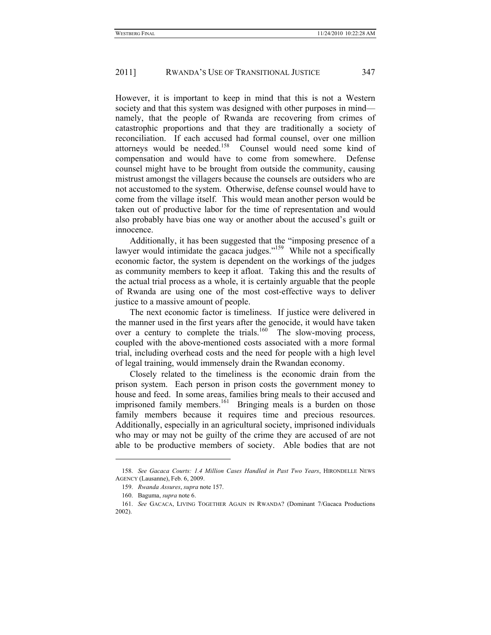However, it is important to keep in mind that this is not a Western society and that this system was designed with other purposes in mind namely, that the people of Rwanda are recovering from crimes of catastrophic proportions and that they are traditionally a society of reconciliation. If each accused had formal counsel, over one million attorneys would be needed.<sup>158</sup> Counsel would need some kind of compensation and would have to come from somewhere. Defense counsel might have to be brought from outside the community, causing mistrust amongst the villagers because the counsels are outsiders who are not accustomed to the system. Otherwise, defense counsel would have to come from the village itself. This would mean another person would be taken out of productive labor for the time of representation and would also probably have bias one way or another about the accused's guilt or innocence.

Additionally, it has been suggested that the "imposing presence of a lawyer would intimidate the gacaca judges."<sup>159</sup> While not a specifically economic factor, the system is dependent on the workings of the judges as community members to keep it afloat. Taking this and the results of the actual trial process as a whole, it is certainly arguable that the people of Rwanda are using one of the most cost-effective ways to deliver justice to a massive amount of people.

The next economic factor is timeliness. If justice were delivered in the manner used in the first years after the genocide, it would have taken over a century to complete the trials.<sup>160</sup> The slow-moving process, coupled with the above-mentioned costs associated with a more formal trial, including overhead costs and the need for people with a high level of legal training, would immensely drain the Rwandan economy.

Closely related to the timeliness is the economic drain from the prison system. Each person in prison costs the government money to house and feed. In some areas, families bring meals to their accused and imprisoned family members.<sup>161</sup> Bringing meals is a burden on those family members because it requires time and precious resources. Additionally, especially in an agricultural society, imprisoned individuals who may or may not be guilty of the crime they are accused of are not able to be productive members of society. Able bodies that are not

<sup>158.</sup> *See Gacaca Courts: 1.4 Million Cases Handled in Past Two Years*, HIRONDELLE NEWS AGENCY (Lausanne), Feb. 6, 2009.

<sup>159.</sup> *Rwanda Assures*, *supra* note 157.

 <sup>160.</sup> Baguma, *supra* note 6.

<sup>161.</sup> *See* GACACA, LIVING TOGETHER AGAIN IN RWANDA? (Dominant 7/Gacaca Productions 2002).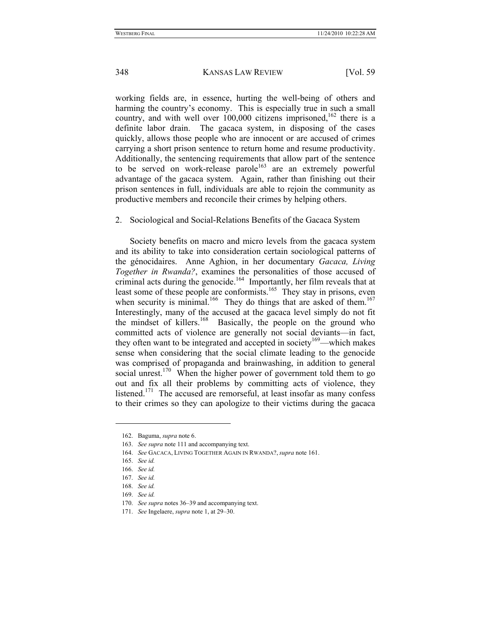working fields are, in essence, hurting the well-being of others and harming the country's economy. This is especially true in such a small country, and with well over  $100,000$  citizens imprisoned,  $^{162}$  there is a definite labor drain. The gacaca system, in disposing of the cases quickly, allows those people who are innocent or are accused of crimes carrying a short prison sentence to return home and resume productivity. Additionally, the sentencing requirements that allow part of the sentence to be served on work-release parole<sup>163</sup> are an extremely powerful advantage of the gacaca system. Again, rather than finishing out their prison sentences in full, individuals are able to rejoin the community as productive members and reconcile their crimes by helping others.

2. Sociological and Social-Relations Benefits of the Gacaca System

Society benefits on macro and micro levels from the gacaca system and its ability to take into consideration certain sociological patterns of the génocidaires. Anne Aghion, in her documentary *Gacaca, Living Together in Rwanda?*, examines the personalities of those accused of criminal acts during the genocide.<sup>164</sup> Importantly, her film reveals that at least some of these people are conformists.<sup>165</sup> They stay in prisons, even when security is minimal.<sup>166</sup> They do things that are asked of them.<sup>167</sup> Interestingly, many of the accused at the gacaca level simply do not fit the mindset of killers.<sup>168</sup> Basically, the people on the ground who committed acts of violence are generally not social deviants—in fact, they often want to be integrated and accepted in society<sup>169</sup>—which makes sense when considering that the social climate leading to the genocide was comprised of propaganda and brainwashing, in addition to general social unrest.<sup>170</sup> When the higher power of government told them to go out and fix all their problems by committing acts of violence, they listened.<sup>171</sup> The accused are remorseful, at least insofar as many confess to their crimes so they can apologize to their victims during the gacaca

 <sup>162.</sup> Baguma, *supra* note 6.

<sup>163.</sup> *See supra* note 111 and accompanying text.

<sup>164.</sup> *See* GACACA, LIVING TOGETHER AGAIN IN RWANDA?, *supra* note 161.

<sup>165.</sup> *See id.*

<sup>166.</sup> *See id.*

<sup>167.</sup> *See id.*

<sup>168.</sup> *See id.*

<sup>169.</sup> *See id.*

<sup>170.</sup> *See supra* notes 36–39 and accompanying text.

<sup>171.</sup> *See* Ingelaere, *supra* note 1, at 29–30.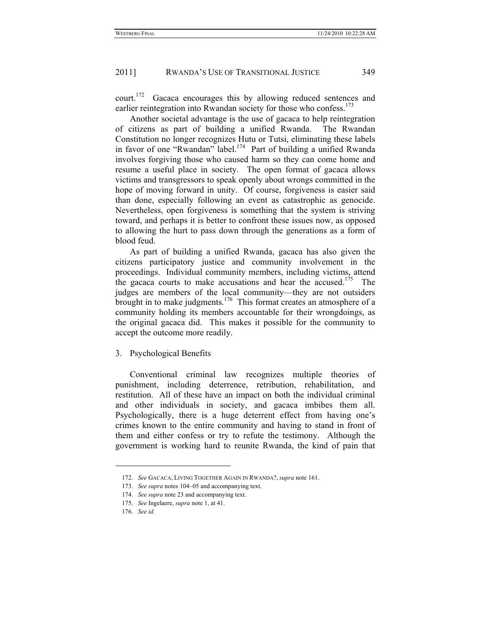court.172 Gacaca encourages this by allowing reduced sentences and earlier reintegration into Rwandan society for those who confess.<sup>173</sup>

Another societal advantage is the use of gacaca to help reintegration of citizens as part of building a unified Rwanda. The Rwandan Constitution no longer recognizes Hutu or Tutsi, eliminating these labels in favor of one "Rwandan" label.<sup>174</sup> Part of building a unified Rwanda involves forgiving those who caused harm so they can come home and resume a useful place in society. The open format of gacaca allows victims and transgressors to speak openly about wrongs committed in the hope of moving forward in unity. Of course, forgiveness is easier said than done, especially following an event as catastrophic as genocide. Nevertheless, open forgiveness is something that the system is striving toward, and perhaps it is better to confront these issues now, as opposed to allowing the hurt to pass down through the generations as a form of blood feud.

As part of building a unified Rwanda, gacaca has also given the citizens participatory justice and community involvement in the proceedings. Individual community members, including victims, attend the gacaca courts to make accusations and hear the accused.<sup>175</sup> The judges are members of the local community—they are not outsiders brought in to make judgments.<sup>176</sup> This format creates an atmosphere of a community holding its members accountable for their wrongdoings, as the original gacaca did. This makes it possible for the community to accept the outcome more readily.

# 3. Psychological Benefits

Conventional criminal law recognizes multiple theories of punishment, including deterrence, retribution, rehabilitation, and restitution. All of these have an impact on both the individual criminal and other individuals in society, and gacaca imbibes them all. Psychologically, there is a huge deterrent effect from having one's crimes known to the entire community and having to stand in front of them and either confess or try to refute the testimony. Although the government is working hard to reunite Rwanda, the kind of pain that

<sup>172.</sup> *See* GACACA, LIVING TOGETHER AGAIN IN RWANDA?, *supra* note 161.

<sup>173.</sup> *See supra* notes 104–05 and accompanying text.

<sup>174.</sup> *See supra* note 23 and accompanying text.

<sup>175.</sup> *See* Ingelaere, *supra* note 1, at 41.

<sup>176.</sup> *See id.*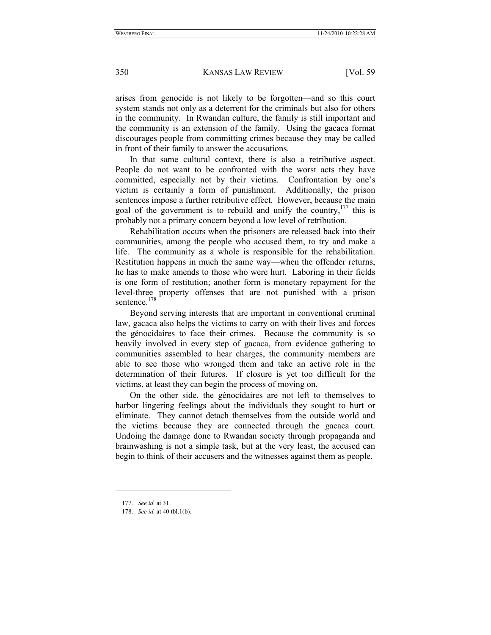arises from genocide is not likely to be forgotten—and so this court system stands not only as a deterrent for the criminals but also for others in the community. In Rwandan culture, the family is still important and the community is an extension of the family. Using the gacaca format discourages people from committing crimes because they may be called in front of their family to answer the accusations.

In that same cultural context, there is also a retributive aspect. People do not want to be confronted with the worst acts they have committed, especially not by their victims. Confrontation by one's victim is certainly a form of punishment. Additionally, the prison sentences impose a further retributive effect. However, because the main goal of the government is to rebuild and unify the country,  $177$  this is probably not a primary concern beyond a low level of retribution.

Rehabilitation occurs when the prisoners are released back into their communities, among the people who accused them, to try and make a life. The community as a whole is responsible for the rehabilitation. Restitution happens in much the same way—when the offender returns, he has to make amends to those who were hurt. Laboring in their fields is one form of restitution; another form is monetary repayment for the level-three property offenses that are not punished with a prison sentence.<sup>178</sup>

Beyond serving interests that are important in conventional criminal law, gacaca also helps the victims to carry on with their lives and forces the génocidaires to face their crimes. Because the community is so heavily involved in every step of gacaca, from evidence gathering to communities assembled to hear charges, the community members are able to see those who wronged them and take an active role in the determination of their futures. If closure is yet too difficult for the victims, at least they can begin the process of moving on.

On the other side, the génocidaires are not left to themselves to harbor lingering feelings about the individuals they sought to hurt or eliminate. They cannot detach themselves from the outside world and the victims because they are connected through the gacaca court. Undoing the damage done to Rwandan society through propaganda and brainwashing is not a simple task, but at the very least, the accused can begin to think of their accusers and the witnesses against them as people.

<sup>177.</sup> *See id.* at 31.

<sup>178.</sup> *See id.* at 40 tbl.1(b).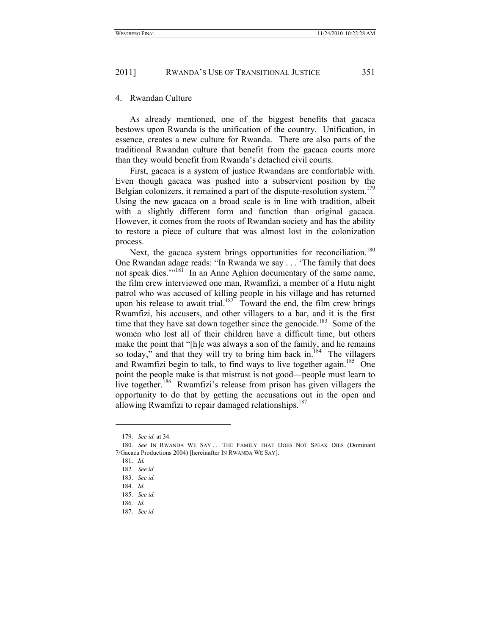### 4. Rwandan Culture

As already mentioned, one of the biggest benefits that gacaca bestows upon Rwanda is the unification of the country. Unification, in essence, creates a new culture for Rwanda. There are also parts of the traditional Rwandan culture that benefit from the gacaca courts more than they would benefit from Rwanda's detached civil courts.

First, gacaca is a system of justice Rwandans are comfortable with. Even though gacaca was pushed into a subservient position by the Belgian colonizers, it remained a part of the dispute-resolution system.<sup>179</sup> Using the new gacaca on a broad scale is in line with tradition, albeit with a slightly different form and function than original gacaca. However, it comes from the roots of Rwandan society and has the ability to restore a piece of culture that was almost lost in the colonization process.

Next, the gacaca system brings opportunities for reconciliation.<sup>180</sup> One Rwandan adage reads: "In Rwanda we say . . . 'The family that does not speak dies."<sup>181</sup> In an Anne Aghion documentary of the same name, the film crew interviewed one man, Rwamfizi, a member of a Hutu night patrol who was accused of killing people in his village and has returned upon his release to await trial.<sup>182</sup> Toward the end, the film crew brings Rwamfizi, his accusers, and other villagers to a bar, and it is the first time that they have sat down together since the genocide.<sup>183</sup> Some of the women who lost all of their children have a difficult time, but others make the point that "[h]e was always a son of the family, and he remains so today," and that they will try to bring him back in.<sup>184</sup> The villagers and Rwamfizi begin to talk, to find ways to live together again.<sup>185</sup> One point the people make is that mistrust is not good—people must learn to live together.<sup>186</sup> Rwamfizi's release from prison has given villagers the opportunity to do that by getting the accusations out in the open and allowing Rwamfizi to repair damaged relationships. $187$ 

<sup>179.</sup> *See id.* at 34.

<sup>180.</sup> See IN RWANDA WE SAY ... THE FAMILY THAT DOES NOT SPEAK DIES (Dominant 7/Gacaca Productions 2004) [hereinafter IN RWANDA WE SAY].

<sup>181.</sup> *Id.*

<sup>182.</sup> *See id.*

<sup>183.</sup> *See id.*

<sup>184.</sup> *Id.*

<sup>185.</sup> *See id.*

<sup>186.</sup> *Id.*

<sup>187.</sup> *See id.*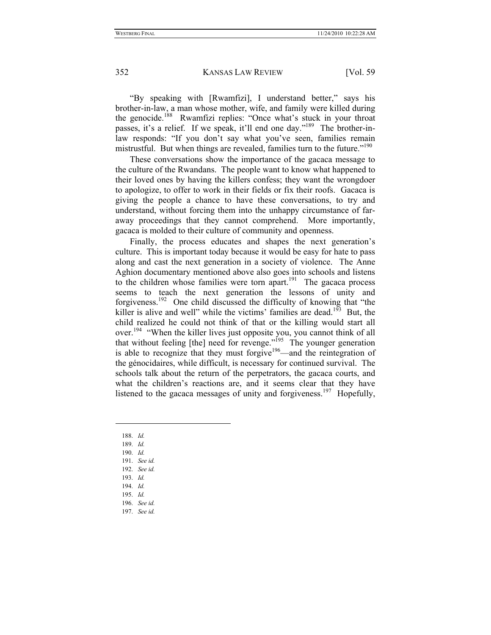"By speaking with [Rwamfizi], I understand better," says his brother-in-law, a man whose mother, wife, and family were killed during the genocide.<sup>188</sup> Rwamfizi replies: "Once what's stuck in your throat passes, it's a relief. If we speak, it'll end one day."<sup>189</sup> The brother-inlaw responds: "If you don't say what you've seen, families remain mistrustful. But when things are revealed, families turn to the future."<sup>190</sup>

These conversations show the importance of the gacaca message to the culture of the Rwandans. The people want to know what happened to their loved ones by having the killers confess; they want the wrongdoer to apologize, to offer to work in their fields or fix their roofs. Gacaca is giving the people a chance to have these conversations, to try and understand, without forcing them into the unhappy circumstance of faraway proceedings that they cannot comprehend. More importantly, gacaca is molded to their culture of community and openness.

Finally, the process educates and shapes the next generation's culture. This is important today because it would be easy for hate to pass along and cast the next generation in a society of violence. The Anne Aghion documentary mentioned above also goes into schools and listens to the children whose families were torn apart.<sup>191</sup> The gacaca process seems to teach the next generation the lessons of unity and forgiveness.192 One child discussed the difficulty of knowing that "the killer is alive and well" while the victims' families are dead.<sup>193</sup> But, the child realized he could not think of that or the killing would start all over.<sup>194</sup> "When the killer lives just opposite you, you cannot think of all that without feeling [the] need for revenge."<sup>195</sup> The younger generation is able to recognize that they must forgive<sup>196</sup>—and the reintegration of the génocidaires, while difficult, is necessary for continued survival. The schools talk about the return of the perpetrators, the gacaca courts, and what the children's reactions are, and it seems clear that they have listened to the gacaca messages of unity and forgiveness.<sup>197</sup> Hopefully,

188. *Id.*

- 189. *Id.*
- 190. *Id.*
- 191. *See id.* 192. *See id.*
- 193. *Id.*
- 
- 194. *Id.* 195. *Id.*
- 
- 196. *See id.* 197. *See id.*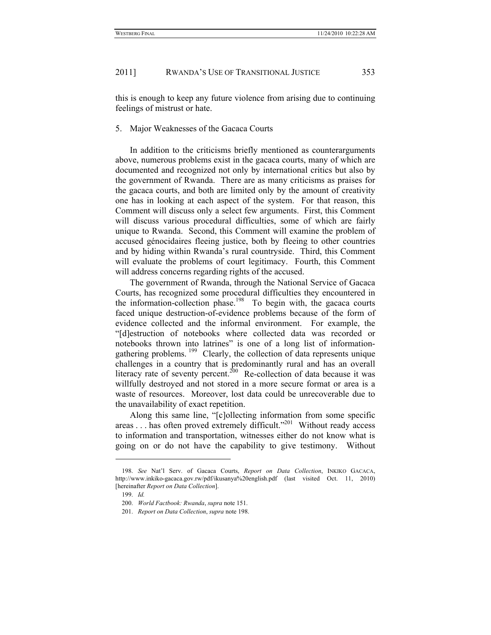this is enough to keep any future violence from arising due to continuing feelings of mistrust or hate.

### 5. Major Weaknesses of the Gacaca Courts

In addition to the criticisms briefly mentioned as counterarguments above, numerous problems exist in the gacaca courts, many of which are documented and recognized not only by international critics but also by the government of Rwanda. There are as many criticisms as praises for the gacaca courts, and both are limited only by the amount of creativity one has in looking at each aspect of the system. For that reason, this Comment will discuss only a select few arguments. First, this Comment will discuss various procedural difficulties, some of which are fairly unique to Rwanda. Second, this Comment will examine the problem of accused génocidaires fleeing justice, both by fleeing to other countries and by hiding within Rwanda's rural countryside. Third, this Comment will evaluate the problems of court legitimacy. Fourth, this Comment will address concerns regarding rights of the accused.

The government of Rwanda, through the National Service of Gacaca Courts, has recognized some procedural difficulties they encountered in the information-collection phase.<sup>198</sup> To begin with, the gacaca courts faced unique destruction-of-evidence problems because of the form of evidence collected and the informal environment. For example, the "[d]estruction of notebooks where collected data was recorded or notebooks thrown into latrines" is one of a long list of informationgathering problems. 199 Clearly, the collection of data represents unique challenges in a country that is predominantly rural and has an overall literacy rate of seventy percent.<sup>200</sup> Re-collection of data because it was willfully destroyed and not stored in a more secure format or area is a waste of resources. Moreover, lost data could be unrecoverable due to the unavailability of exact repetition.

Along this same line, "[c]ollecting information from some specific areas . . . has often proved extremely difficult."201 Without ready access to information and transportation, witnesses either do not know what is going on or do not have the capability to give testimony. Without

<sup>198.</sup> *See* Nat'l Serv. of Gacaca Courts, *Report on Data Collection*, INKIKO GACACA, http://www.inkiko-gacaca.gov.rw/pdf/ikusanya%20english.pdf (last visited Oct. 11, 2010) [hereinafter *Report on Data Collection*].

<sup>199.</sup> *Id.*

<sup>200.</sup> *World Factbook: Rwanda*, *supra* note 151.

<sup>201.</sup> *Report on Data Collection*, *supra* note 198.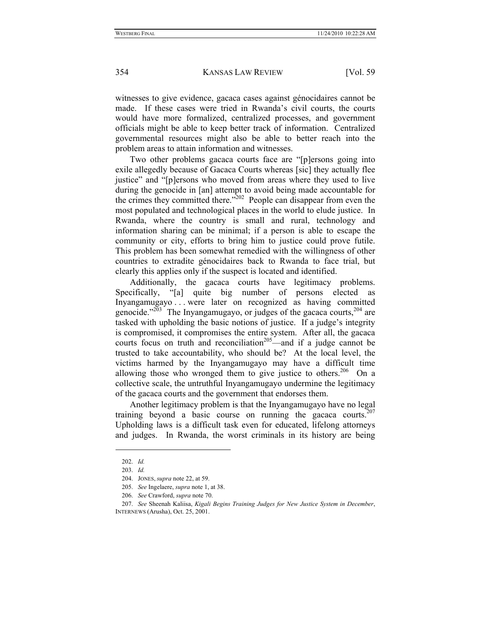witnesses to give evidence, gacaca cases against génocidaires cannot be made. If these cases were tried in Rwanda's civil courts, the courts would have more formalized, centralized processes, and government officials might be able to keep better track of information. Centralized governmental resources might also be able to better reach into the problem areas to attain information and witnesses.

Two other problems gacaca courts face are "[p]ersons going into exile allegedly because of Gacaca Courts whereas [sic] they actually flee justice" and "[p]ersons who moved from areas where they used to live during the genocide in [an] attempt to avoid being made accountable for the crimes they committed there." $202$  People can disappear from even the most populated and technological places in the world to elude justice. In Rwanda, where the country is small and rural, technology and information sharing can be minimal; if a person is able to escape the community or city, efforts to bring him to justice could prove futile. This problem has been somewhat remedied with the willingness of other countries to extradite génocidaires back to Rwanda to face trial, but clearly this applies only if the suspect is located and identified.

Additionally, the gacaca courts have legitimacy problems. Specifically, "[a] quite big number of persons elected as Inyangamugayo . . . were later on recognized as having committed genocide."<sup>203</sup> The Inyangamugayo, or judges of the gacaca courts,  $2^{04}$  are tasked with upholding the basic notions of justice. If a judge's integrity is compromised, it compromises the entire system. After all, the gacaca courts focus on truth and reconciliation<sup>205</sup>—and if a judge cannot be trusted to take accountability, who should be? At the local level, the victims harmed by the Inyangamugayo may have a difficult time allowing those who wronged them to give justice to others.<sup>206</sup> On a collective scale, the untruthful Inyangamugayo undermine the legitimacy of the gacaca courts and the government that endorses them.

Another legitimacy problem is that the Inyangamugayo have no legal training beyond a basic course on running the gacaca courts. $207$ Upholding laws is a difficult task even for educated, lifelong attorneys and judges. In Rwanda, the worst criminals in its history are being

<sup>202.</sup> *Id.*

<sup>203.</sup> *Id.*

 <sup>204.</sup> JONES, *supra* note 22, at 59.

<sup>205.</sup> *See* Ingelaere, *supra* note 1, at 38.

<sup>206.</sup> *See* Crawford, *supra* note 70.

<sup>207.</sup> *See* Sheenah Kaliisa, *Kigali Begins Training Judges for New Justice System in December*, INTERNEWS (Arusha), Oct. 25, 2001.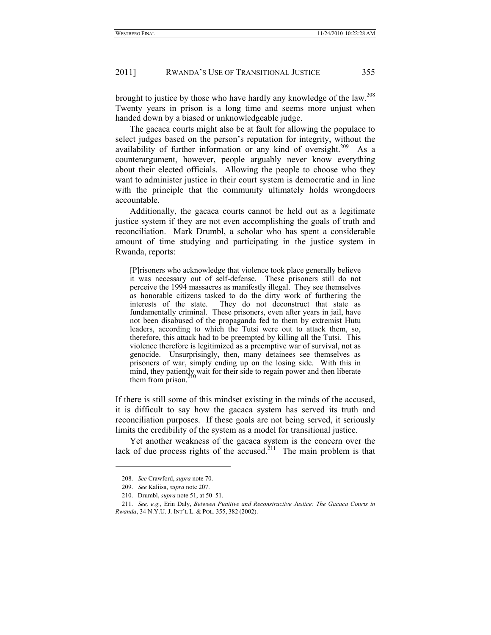brought to justice by those who have hardly any knowledge of the law.<sup>208</sup> Twenty years in prison is a long time and seems more unjust when handed down by a biased or unknowledgeable judge.

The gacaca courts might also be at fault for allowing the populace to select judges based on the person's reputation for integrity, without the availability of further information or any kind of oversight.<sup>209</sup> As a counterargument, however, people arguably never know everything about their elected officials. Allowing the people to choose who they want to administer justice in their court system is democratic and in line with the principle that the community ultimately holds wrongdoers accountable.

Additionally, the gacaca courts cannot be held out as a legitimate justice system if they are not even accomplishing the goals of truth and reconciliation. Mark Drumbl, a scholar who has spent a considerable amount of time studying and participating in the justice system in Rwanda, reports:

[P]risoners who acknowledge that violence took place generally believe it was necessary out of self-defense. These prisoners still do not perceive the 1994 massacres as manifestly illegal. They see themselves as honorable citizens tasked to do the dirty work of furthering the interests of the state. They do not deconstruct that state as fundamentally criminal. These prisoners, even after years in jail, have not been disabused of the propaganda fed to them by extremist Hutu leaders, according to which the Tutsi were out to attack them, so, therefore, this attack had to be preempted by killing all the Tutsi. This violence therefore is legitimized as a preemptive war of survival, not as genocide. Unsurprisingly, then, many detainees see themselves as prisoners of war, simply ending up on the losing side. With this in mind, they patiently wait for their side to regain power and then liberate them from prison.<sup>2</sup>

If there is still some of this mindset existing in the minds of the accused, it is difficult to say how the gacaca system has served its truth and reconciliation purposes. If these goals are not being served, it seriously limits the credibility of the system as a model for transitional justice.

Yet another weakness of the gacaca system is the concern over the lack of due process rights of the accused.<sup>211</sup> The main problem is that

<sup>208.</sup> *See* Crawford, *supra* note 70.

<sup>209.</sup> *See* Kaliisa, *supra* note 207.

 <sup>210.</sup> Drumbl, *supra* note 51, at 50–51.

<sup>211.</sup> *See, e.g.*, Erin Daly, *Between Punitive and Reconstructive Justice: The Gacaca Courts in Rwanda*, 34 N.Y.U. J. INT'L L. & POL. 355, 382 (2002).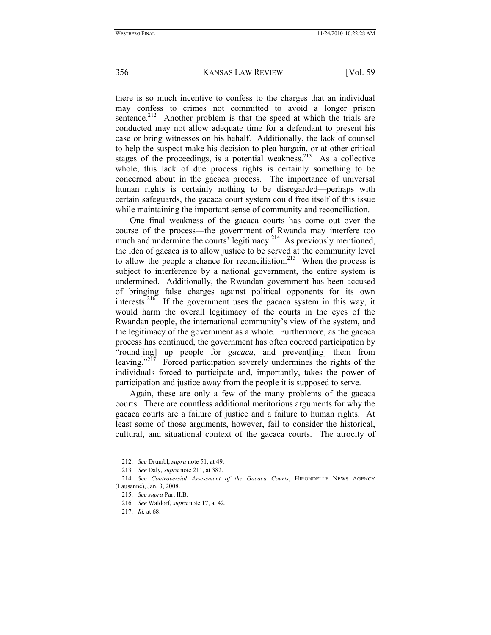there is so much incentive to confess to the charges that an individual may confess to crimes not committed to avoid a longer prison sentence.<sup>212</sup> Another problem is that the speed at which the trials are conducted may not allow adequate time for a defendant to present his case or bring witnesses on his behalf. Additionally, the lack of counsel to help the suspect make his decision to plea bargain, or at other critical stages of the proceedings, is a potential weakness.<sup>213</sup> As a collective whole, this lack of due process rights is certainly something to be concerned about in the gacaca process. The importance of universal human rights is certainly nothing to be disregarded—perhaps with certain safeguards, the gacaca court system could free itself of this issue while maintaining the important sense of community and reconciliation.

One final weakness of the gacaca courts has come out over the course of the process—the government of Rwanda may interfere too much and undermine the courts' legitimacy.<sup>214</sup> As previously mentioned, the idea of gacaca is to allow justice to be served at the community level to allow the people a chance for reconciliation.<sup>215</sup> When the process is subject to interference by a national government, the entire system is undermined. Additionally, the Rwandan government has been accused of bringing false charges against political opponents for its own interests.<sup>216</sup> If the government uses the gacaca system in this way, it would harm the overall legitimacy of the courts in the eyes of the Rwandan people, the international community's view of the system, and the legitimacy of the government as a whole. Furthermore, as the gacaca process has continued, the government has often coerced participation by "round[ing] up people for *gacaca*, and prevent[ing] them from leaving."<sup>217</sup> Forced participation severely undermines the rights of the individuals forced to participate and, importantly, takes the power of participation and justice away from the people it is supposed to serve.

Again, these are only a few of the many problems of the gacaca courts. There are countless additional meritorious arguments for why the gacaca courts are a failure of justice and a failure to human rights. At least some of those arguments, however, fail to consider the historical, cultural, and situational context of the gacaca courts. The atrocity of

<sup>212.</sup> *See* Drumbl, *supra* note 51, at 49.

<sup>213.</sup> *See* Daly, *supra* note 211, at 382.

<sup>214.</sup> *See Controversial Assessment of the Gacaca Courts*, HIRONDELLE NEWS AGENCY (Lausanne), Jan. 3, 2008.

<sup>215.</sup> *See supra* Part II.B.

<sup>216.</sup> *See* Waldorf, *supra* note 17, at 42.

<sup>217.</sup> *Id.* at 68.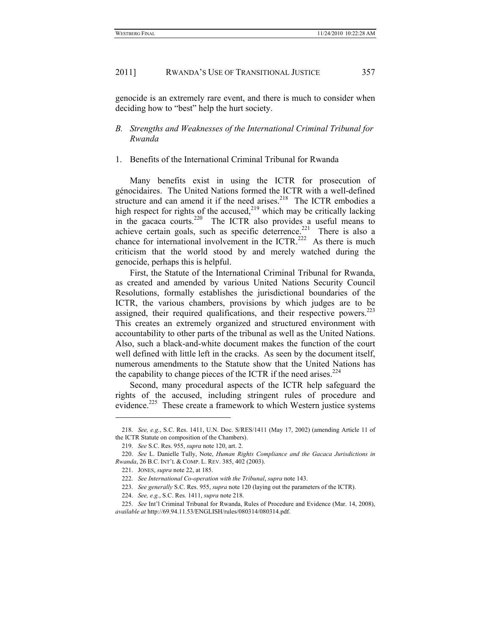genocide is an extremely rare event, and there is much to consider when deciding how to "best" help the hurt society.

### *B. Strengths and Weaknesses of the International Criminal Tribunal for Rwanda*

### 1. Benefits of the International Criminal Tribunal for Rwanda

Many benefits exist in using the ICTR for prosecution of génocidaires. The United Nations formed the ICTR with a well-defined structure and can amend it if the need arises. $218$  The ICTR embodies a high respect for rights of the accused, $2^{19}$  which may be critically lacking in the gacaca courts.<sup>220</sup> The ICTR also provides a useful means to achieve certain goals, such as specific deterrence.<sup>221</sup> There is also a chance for international involvement in the ICTR.<sup>222</sup> As there is much criticism that the world stood by and merely watched during the genocide, perhaps this is helpful.

First, the Statute of the International Criminal Tribunal for Rwanda, as created and amended by various United Nations Security Council Resolutions, formally establishes the jurisdictional boundaries of the ICTR, the various chambers, provisions by which judges are to be assigned, their required qualifications, and their respective powers.<sup>223</sup> This creates an extremely organized and structured environment with accountability to other parts of the tribunal as well as the United Nations. Also, such a black-and-white document makes the function of the court well defined with little left in the cracks. As seen by the document itself, numerous amendments to the Statute show that the United Nations has the capability to change pieces of the ICTR if the need arises. $224$ 

Second, many procedural aspects of the ICTR help safeguard the rights of the accused, including stringent rules of procedure and evidence.<sup>225</sup> These create a framework to which Western justice systems

<sup>218.</sup> *See, e.g.*, S.C. Res. 1411, U.N. Doc. S/RES/1411 (May 17, 2002) (amending Article 11 of the ICTR Statute on composition of the Chambers).

<sup>219.</sup> *See* S.C. Res. 955, *supra* note 120, art. 2.

<sup>220.</sup> *See* L. Danielle Tully, Note, *Human Rights Compliance and the Gacaca Jurisdictions in Rwanda*, 26 B.C. INT'L & COMP. L. REV. 385, 402 (2003).

 <sup>221.</sup> JONES, *supra* note 22, at 185.

<sup>222.</sup> *See International Co-operation with the Tribunal*, *supra* note 143.

<sup>223.</sup> *See generally* S.C. Res. 955, *supra* note 120 (laying out the parameters of the ICTR).

<sup>224.</sup> *See, e.g.*, S.C. Res. 1411, *supra* note 218.

<sup>225.</sup> *See* Int'l Criminal Tribunal for Rwanda, Rules of Procedure and Evidence (Mar. 14, 2008), *available at* http://69.94.11.53/ENGLISH/rules/080314/080314.pdf.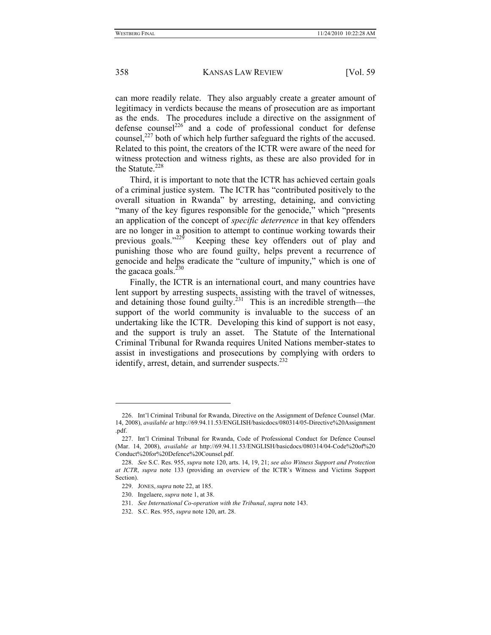can more readily relate. They also arguably create a greater amount of legitimacy in verdicts because the means of prosecution are as important as the ends. The procedures include a directive on the assignment of defense counsel<sup>226</sup> and a code of professional conduct for defense counsel,<sup>227</sup> both of which help further safeguard the rights of the accused. Related to this point, the creators of the ICTR were aware of the need for witness protection and witness rights, as these are also provided for in the Statute.<sup>228</sup>

Third, it is important to note that the ICTR has achieved certain goals of a criminal justice system. The ICTR has "contributed positively to the overall situation in Rwanda" by arresting, detaining, and convicting "many of the key figures responsible for the genocide," which "presents an application of the concept of *specific deterrence* in that key offenders are no longer in a position to attempt to continue working towards their previous goals."<sup>229</sup> Keeping these key offenders out of play and punishing those who are found guilty, helps prevent a recurrence of genocide and helps eradicate the "culture of impunity," which is one of the gacaca goals. $^{230}$ 

Finally, the ICTR is an international court, and many countries have lent support by arresting suspects, assisting with the travel of witnesses, and detaining those found guilty.<sup>231</sup> This is an incredible strength—the support of the world community is invaluable to the success of an undertaking like the ICTR. Developing this kind of support is not easy, and the support is truly an asset. The Statute of the International Criminal Tribunal for Rwanda requires United Nations member-states to assist in investigations and prosecutions by complying with orders to identify, arrest, detain, and surrender suspects.<sup>232</sup>

 <sup>226.</sup> Int'l Criminal Tribunal for Rwanda, Directive on the Assignment of Defence Counsel (Mar. 14, 2008), *available at* http://69.94.11.53/ENGLISH/basicdocs/080314/05-Directive%20Assignment .pdf.

 <sup>227.</sup> Int'l Criminal Tribunal for Rwanda, Code of Professional Conduct for Defence Counsel (Mar. 14, 2008), *available at* http://69.94.11.53/ENGLISH/basicdocs/080314/04-Code%20of%20 Conduct%20for%20Defence%20Counsel.pdf.

<sup>228.</sup> *See* S.C. Res. 955, *supra* note 120, arts. 14, 19, 21; *see also Witness Support and Protection at ICTR*, *supra* note 133 (providing an overview of the ICTR's Witness and Victims Support Section).

 <sup>229.</sup> JONES, *supra* note 22, at 185.

 <sup>230.</sup> Ingelaere, *supra* note 1, at 38.

<sup>231.</sup> *See International Co-operation with the Tribunal*, *supra* note 143.

 <sup>232.</sup> S.C. Res. 955, *supra* note 120, art. 28.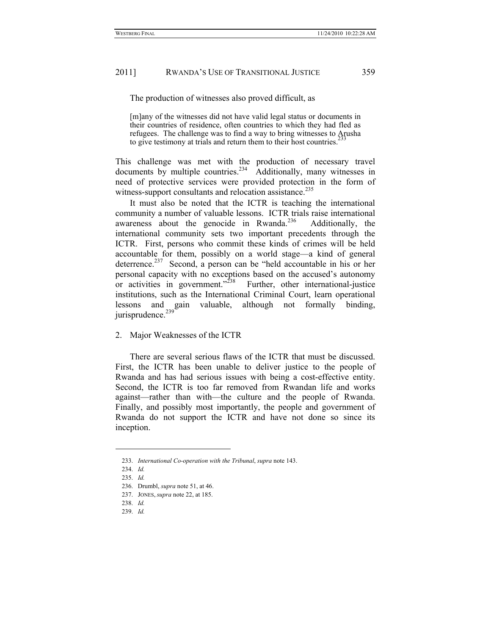The production of witnesses also proved difficult, as

[m]any of the witnesses did not have valid legal status or documents in their countries of residence, often countries to which they had fled as refugees. The challenge was to find a way to bring witnesses to Arusha to give testimony at trials and return them to their host countries.<sup>2</sup>

This challenge was met with the production of necessary travel documents by multiple countries.<sup>234</sup> Additionally, many witnesses in need of protective services were provided protection in the form of witness-support consultants and relocation assistance.<sup>235</sup>

It must also be noted that the ICTR is teaching the international community a number of valuable lessons. ICTR trials raise international awareness about the genocide in Rwanda. $236$  Additionally, the international community sets two important precedents through the ICTR. First, persons who commit these kinds of crimes will be held accountable for them, possibly on a world stage—a kind of general deterrence.<sup>237</sup> Second, a person can be "held accountable in his or her personal capacity with no exceptions based on the accused's autonomy or activities in government." $2^{238}$  Further, other international-justice institutions, such as the International Criminal Court, learn operational lessons and gain valuable, although not formally binding, jurisprudence.<sup>239</sup>

#### 2. Major Weaknesses of the ICTR

There are several serious flaws of the ICTR that must be discussed. First, the ICTR has been unable to deliver justice to the people of Rwanda and has had serious issues with being a cost-effective entity. Second, the ICTR is too far removed from Rwandan life and works against—rather than with—the culture and the people of Rwanda. Finally, and possibly most importantly, the people and government of Rwanda do not support the ICTR and have not done so since its inception.

<sup>233.</sup> *International Co-operation with the Tribunal*, *supra* note 143.

<sup>234.</sup> *Id.*

<sup>235.</sup> *Id.*

 <sup>236.</sup> Drumbl, *supra* note 51, at 46.

 <sup>237.</sup> JONES, *supra* note 22, at 185.

<sup>238.</sup> *Id.*

<sup>239.</sup> *Id.*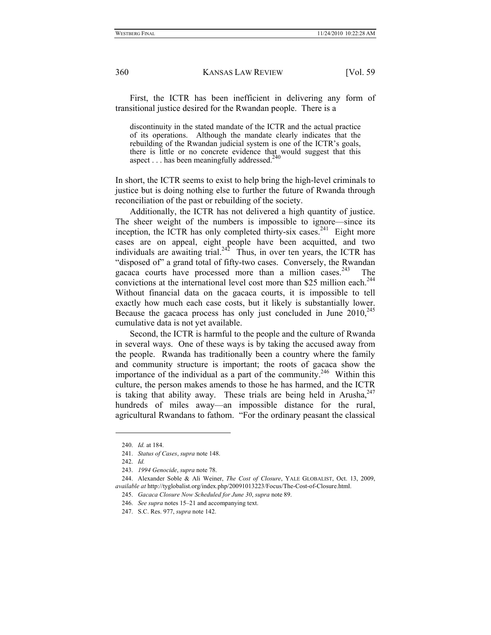First, the ICTR has been inefficient in delivering any form of transitional justice desired for the Rwandan people. There is a

discontinuity in the stated mandate of the ICTR and the actual practice of its operations. Although the mandate clearly indicates that the rebuilding of the Rwandan judicial system is one of the ICTR's goals, there is little or no concrete evidence that would suggest that this aspect  $\dots$  has been meaningfully addressed.<sup>240</sup>

In short, the ICTR seems to exist to help bring the high-level criminals to justice but is doing nothing else to further the future of Rwanda through reconciliation of the past or rebuilding of the society.

Additionally, the ICTR has not delivered a high quantity of justice. The sheer weight of the numbers is impossible to ignore—since its inception, the ICTR has only completed thirty-six cases.<sup>241</sup> Eight more cases are on appeal, eight people have been acquitted, and two individuals are awaiting trial.<sup>242</sup> Thus, in over ten years, the ICTR has "disposed of" a grand total of fifty-two cases. Conversely, the Rwandan gacaca courts have processed more than a million cases. $243$  The convictions at the international level cost more than \$25 million each.<sup>244</sup> Without financial data on the gacaca courts, it is impossible to tell exactly how much each case costs, but it likely is substantially lower. Because the gacaca process has only just concluded in June  $2010$ ,  $245$ cumulative data is not yet available.

Second, the ICTR is harmful to the people and the culture of Rwanda in several ways. One of these ways is by taking the accused away from the people. Rwanda has traditionally been a country where the family and community structure is important; the roots of gacaca show the importance of the individual as a part of the community.<sup>246</sup> Within this culture, the person makes amends to those he has harmed, and the ICTR is taking that ability away. These trials are being held in Arusha, $247$ hundreds of miles away—an impossible distance for the rural, agricultural Rwandans to fathom. "For the ordinary peasant the classical

<sup>240.</sup> *Id.* at 184.

<sup>241.</sup> *Status of Cases*, *supra* note 148.

<sup>242.</sup> *Id.*

<sup>243.</sup> *1994 Genocide*, *supra* note 78.

 <sup>244.</sup> Alexander Soble & Ali Weiner, *The Cost of Closure*, YALE GLOBALIST, Oct. 13, 2009, *available at* http://tyglobalist.org/index.php/20091013223/Focus/The-Cost-of-Closure.html.

<sup>245.</sup> *Gacaca Closure Now Scheduled for June 30*, *supra* note 89.

<sup>246.</sup> *See supra* notes 15–21 and accompanying text.

 <sup>247.</sup> S.C. Res. 977, *supra* note 142.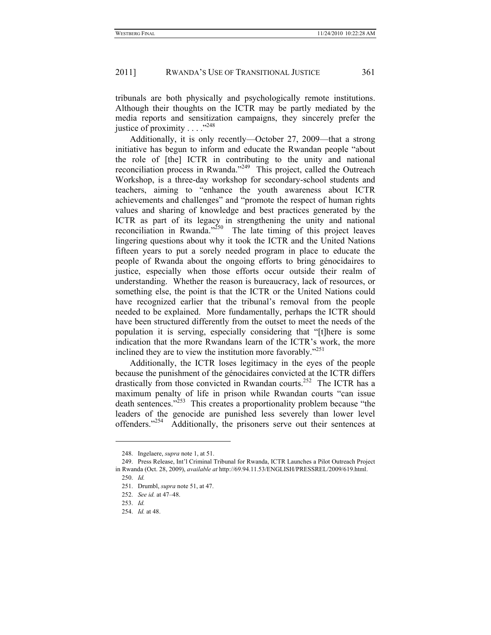tribunals are both physically and psychologically remote institutions. Although their thoughts on the ICTR may be partly mediated by the media reports and sensitization campaigns, they sincerely prefer the justice of proximity . . . ."<sup>248</sup>

Additionally, it is only recently—October 27, 2009—that a strong initiative has begun to inform and educate the Rwandan people "about the role of [the] ICTR in contributing to the unity and national reconciliation process in Rwanda."249 This project, called the Outreach Workshop, is a three-day workshop for secondary-school students and teachers, aiming to "enhance the youth awareness about ICTR achievements and challenges" and "promote the respect of human rights values and sharing of knowledge and best practices generated by the ICTR as part of its legacy in strengthening the unity and national reconciliation in Rwanda."<sup>250</sup> The late timing of this project leaves lingering questions about why it took the ICTR and the United Nations fifteen years to put a sorely needed program in place to educate the people of Rwanda about the ongoing efforts to bring génocidaires to justice, especially when those efforts occur outside their realm of understanding. Whether the reason is bureaucracy, lack of resources, or something else, the point is that the ICTR or the United Nations could have recognized earlier that the tribunal's removal from the people needed to be explained. More fundamentally, perhaps the ICTR should have been structured differently from the outset to meet the needs of the population it is serving, especially considering that "[t]here is some indication that the more Rwandans learn of the ICTR's work, the more inclined they are to view the institution more favorably."251

Additionally, the ICTR loses legitimacy in the eyes of the people because the punishment of the génocidaires convicted at the ICTR differs drastically from those convicted in Rwandan courts.<sup>252</sup> The ICTR has a maximum penalty of life in prison while Rwandan courts "can issue death sentences.<sup>2253</sup> This creates a proportionality problem because "the leaders of the genocide are punished less severely than lower level offenders."254 Additionally, the prisoners serve out their sentences at

 <sup>248.</sup> Ingelaere, *supra* note 1, at 51.

 <sup>249.</sup> Press Release, Int'l Criminal Tribunal for Rwanda, ICTR Launches a Pilot Outreach Project in Rwanda (Oct. 28, 2009), *available at* http://69.94.11.53/ENGLISH/PRESSREL/2009/619.html.

<sup>250.</sup> *Id.*

 <sup>251.</sup> Drumbl, *supra* note 51, at 47.

<sup>252.</sup> *See id.* at 47–48.

<sup>253.</sup> *Id.*

<sup>254.</sup> *Id.* at 48.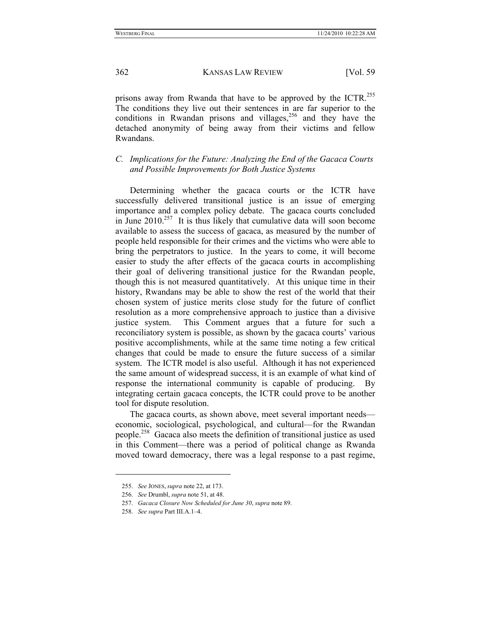prisons away from Rwanda that have to be approved by the ICTR.<sup>255</sup> The conditions they live out their sentences in are far superior to the conditions in Rwandan prisons and villages, $256$  and they have the detached anonymity of being away from their victims and fellow Rwandans.

*C. Implications for the Future: Analyzing the End of the Gacaca Courts and Possible Improvements for Both Justice Systems* 

Determining whether the gacaca courts or the ICTR have successfully delivered transitional justice is an issue of emerging importance and a complex policy debate. The gacaca courts concluded in June  $2010^{257}$  It is thus likely that cumulative data will soon become available to assess the success of gacaca, as measured by the number of people held responsible for their crimes and the victims who were able to bring the perpetrators to justice. In the years to come, it will become easier to study the after effects of the gacaca courts in accomplishing their goal of delivering transitional justice for the Rwandan people, though this is not measured quantitatively. At this unique time in their history, Rwandans may be able to show the rest of the world that their chosen system of justice merits close study for the future of conflict resolution as a more comprehensive approach to justice than a divisive justice system. This Comment argues that a future for such a reconciliatory system is possible, as shown by the gacaca courts' various positive accomplishments, while at the same time noting a few critical changes that could be made to ensure the future success of a similar system. The ICTR model is also useful. Although it has not experienced the same amount of widespread success, it is an example of what kind of response the international community is capable of producing. By integrating certain gacaca concepts, the ICTR could prove to be another tool for dispute resolution.

The gacaca courts, as shown above, meet several important needs economic, sociological, psychological, and cultural—for the Rwandan people.<sup>258</sup> Gacaca also meets the definition of transitional justice as used in this Comment—there was a period of political change as Rwanda moved toward democracy, there was a legal response to a past regime,

<sup>255.</sup> *See* JONES, *supra* note 22, at 173.

<sup>256.</sup> *See* Drumbl, *supra* note 51, at 48.

<sup>257.</sup> *Gacaca Closure Now Scheduled for June 30*, *supra* note 89.

<sup>258.</sup> *See supra* Part III.A.1–4.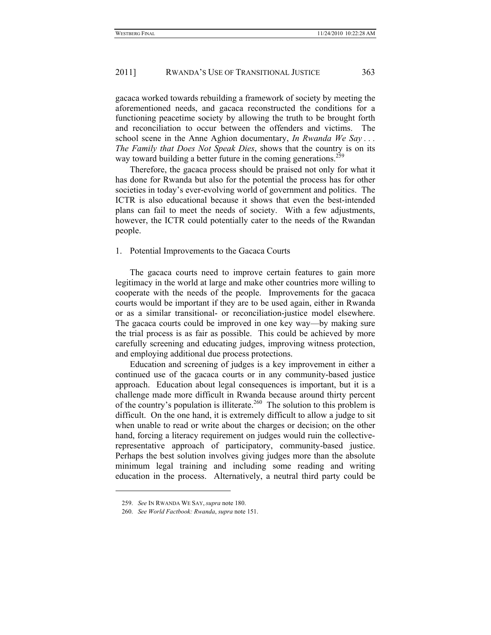gacaca worked towards rebuilding a framework of society by meeting the aforementioned needs, and gacaca reconstructed the conditions for a functioning peacetime society by allowing the truth to be brought forth and reconciliation to occur between the offenders and victims. The school scene in the Anne Aghion documentary, *In Rwanda We Say . . . The Family that Does Not Speak Dies*, shows that the country is on its way toward building a better future in the coming generations.<sup>259</sup>

Therefore, the gacaca process should be praised not only for what it has done for Rwanda but also for the potential the process has for other societies in today's ever-evolving world of government and politics. The ICTR is also educational because it shows that even the best-intended plans can fail to meet the needs of society. With a few adjustments, however, the ICTR could potentially cater to the needs of the Rwandan people.

### 1. Potential Improvements to the Gacaca Courts

The gacaca courts need to improve certain features to gain more legitimacy in the world at large and make other countries more willing to cooperate with the needs of the people. Improvements for the gacaca courts would be important if they are to be used again, either in Rwanda or as a similar transitional- or reconciliation-justice model elsewhere. The gacaca courts could be improved in one key way—by making sure the trial process is as fair as possible. This could be achieved by more carefully screening and educating judges, improving witness protection, and employing additional due process protections.

Education and screening of judges is a key improvement in either a continued use of the gacaca courts or in any community-based justice approach. Education about legal consequences is important, but it is a challenge made more difficult in Rwanda because around thirty percent of the country's population is illiterate.<sup>260</sup> The solution to this problem is difficult. On the one hand, it is extremely difficult to allow a judge to sit when unable to read or write about the charges or decision; on the other hand, forcing a literacy requirement on judges would ruin the collectiverepresentative approach of participatory, community-based justice. Perhaps the best solution involves giving judges more than the absolute minimum legal training and including some reading and writing education in the process. Alternatively, a neutral third party could be

<sup>259.</sup> *See* IN RWANDA WE SAY, *supra* note 180.

<sup>260.</sup> *See World Factbook: Rwanda*, *supra* note 151.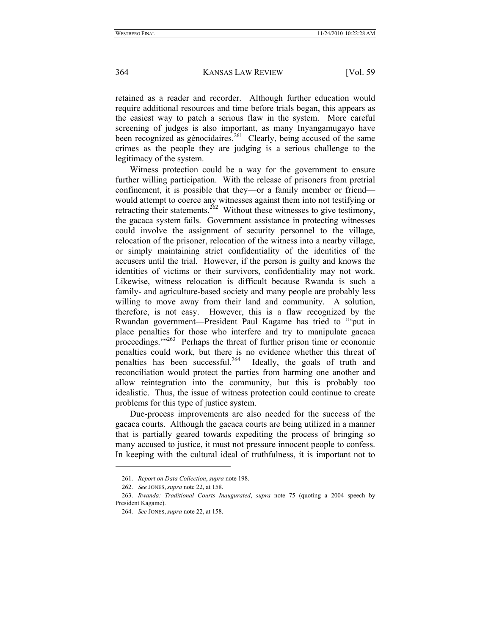retained as a reader and recorder. Although further education would require additional resources and time before trials began, this appears as the easiest way to patch a serious flaw in the system. More careful screening of judges is also important, as many Inyangamugayo have been recognized as génocidaires.<sup>261</sup> Clearly, being accused of the same crimes as the people they are judging is a serious challenge to the legitimacy of the system.

Witness protection could be a way for the government to ensure further willing participation. With the release of prisoners from pretrial confinement, it is possible that they—or a family member or friend would attempt to coerce any witnesses against them into not testifying or retracting their statements.<sup>262</sup> Without these witnesses to give testimony, the gacaca system fails. Government assistance in protecting witnesses could involve the assignment of security personnel to the village, relocation of the prisoner, relocation of the witness into a nearby village, or simply maintaining strict confidentiality of the identities of the accusers until the trial. However, if the person is guilty and knows the identities of victims or their survivors, confidentiality may not work. Likewise, witness relocation is difficult because Rwanda is such a family- and agriculture-based society and many people are probably less willing to move away from their land and community. A solution, therefore, is not easy. However, this is a flaw recognized by the Rwandan government—President Paul Kagame has tried to "'put in place penalties for those who interfere and try to manipulate gacaca proceedings."<sup>263</sup> Perhaps the threat of further prison time or economic penalties could work, but there is no evidence whether this threat of penalties has been successful.<sup>264</sup> Ideally, the goals of truth and reconciliation would protect the parties from harming one another and allow reintegration into the community, but this is probably too idealistic. Thus, the issue of witness protection could continue to create problems for this type of justice system.

Due-process improvements are also needed for the success of the gacaca courts. Although the gacaca courts are being utilized in a manner that is partially geared towards expediting the process of bringing so many accused to justice, it must not pressure innocent people to confess. In keeping with the cultural ideal of truthfulness, it is important not to

<sup>261.</sup> *Report on Data Collection*, *supra* note 198.

<sup>262.</sup> *See* JONES, *supra* note 22, at 158.

<sup>263.</sup> *Rwanda: Traditional Courts Inaugurated*, *supra* note 75 (quoting a 2004 speech by President Kagame).

<sup>264.</sup> *See* JONES, *supra* note 22, at 158.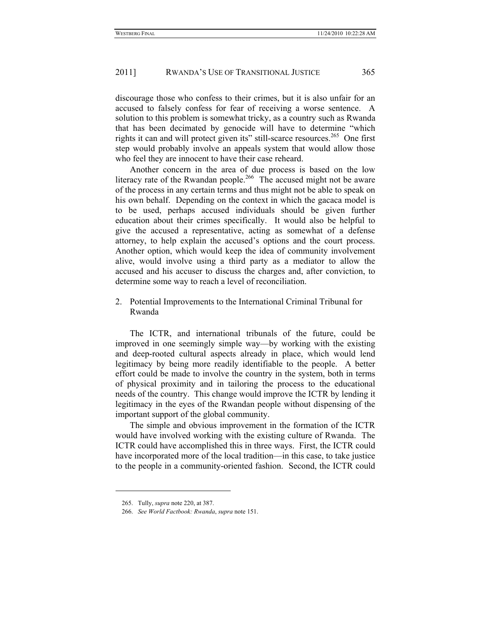discourage those who confess to their crimes, but it is also unfair for an accused to falsely confess for fear of receiving a worse sentence. A solution to this problem is somewhat tricky, as a country such as Rwanda that has been decimated by genocide will have to determine "which rights it can and will protect given its" still-scarce resources.<sup>265</sup> One first step would probably involve an appeals system that would allow those who feel they are innocent to have their case reheard.

Another concern in the area of due process is based on the low literacy rate of the Rwandan people.<sup>266</sup> The accused might not be aware of the process in any certain terms and thus might not be able to speak on his own behalf. Depending on the context in which the gacaca model is to be used, perhaps accused individuals should be given further education about their crimes specifically. It would also be helpful to give the accused a representative, acting as somewhat of a defense attorney, to help explain the accused's options and the court process. Another option, which would keep the idea of community involvement alive, would involve using a third party as a mediator to allow the accused and his accuser to discuss the charges and, after conviction, to determine some way to reach a level of reconciliation.

2. Potential Improvements to the International Criminal Tribunal for Rwanda

The ICTR, and international tribunals of the future, could be improved in one seemingly simple way—by working with the existing and deep-rooted cultural aspects already in place, which would lend legitimacy by being more readily identifiable to the people. A better effort could be made to involve the country in the system, both in terms of physical proximity and in tailoring the process to the educational needs of the country. This change would improve the ICTR by lending it legitimacy in the eyes of the Rwandan people without dispensing of the important support of the global community.

The simple and obvious improvement in the formation of the ICTR would have involved working with the existing culture of Rwanda. The ICTR could have accomplished this in three ways. First, the ICTR could have incorporated more of the local tradition—in this case, to take justice to the people in a community-oriented fashion. Second, the ICTR could

 <sup>265.</sup> Tully, *supra* note 220, at 387.

<sup>266.</sup> *See World Factbook: Rwanda*, *supra* note 151.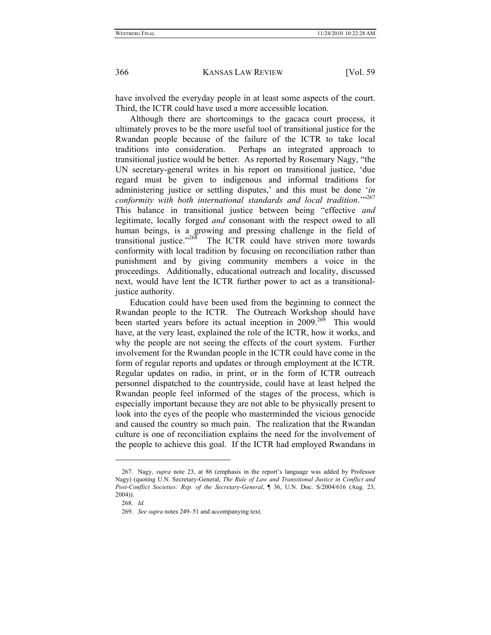have involved the everyday people in at least some aspects of the court. Third, the ICTR could have used a more accessible location.

Although there are shortcomings to the gacaca court process, it ultimately proves to be the more useful tool of transitional justice for the Rwandan people because of the failure of the ICTR to take local traditions into consideration. Perhaps an integrated approach to transitional justice would be better. As reported by Rosemary Nagy, "the UN secretary-general writes in his report on transitional justice, 'due regard must be given to indigenous and informal traditions for administering justice or settling disputes,' and this must be done '*in conformity with both international standards and local tradition*.'"267 This balance in transitional justice between being "effective *and* legitimate, locally forged *and* consonant with the respect owed to all human beings, is a growing and pressing challenge in the field of transitional justice." $268$  The ICTR could have striven more towards conformity with local tradition by focusing on reconciliation rather than punishment and by giving community members a voice in the proceedings. Additionally, educational outreach and locality, discussed next, would have lent the ICTR further power to act as a transitionaljustice authority.

Education could have been used from the beginning to connect the Rwandan people to the ICTR. The Outreach Workshop should have been started years before its actual inception in 2009.<sup>269</sup> This would have, at the very least, explained the role of the ICTR, how it works, and why the people are not seeing the effects of the court system. Further involvement for the Rwandan people in the ICTR could have come in the form of regular reports and updates or through employment at the ICTR. Regular updates on radio, in print, or in the form of ICTR outreach personnel dispatched to the countryside, could have at least helped the Rwandan people feel informed of the stages of the process, which is especially important because they are not able to be physically present to look into the eyes of the people who masterminded the vicious genocide and caused the country so much pain. The realization that the Rwandan culture is one of reconciliation explains the need for the involvement of the people to achieve this goal. If the ICTR had employed Rwandans in

 <sup>267.</sup> Nagy, *supra* note 23, at 86 (emphasis in the report's language was added by Professor Nagy) (quoting U.N. Secretary-General, *The Rule of Law and Transitional Justice in Conflict and Post-Conflict Societies: Rep. of the Secretary-General*, ¶ 36, U.N. Doc. S/2004/616 (Aug. 23, 2004)).

<sup>268.</sup> *Id.*

<sup>269.</sup> *See supra* notes 249–51 and accompanying text.